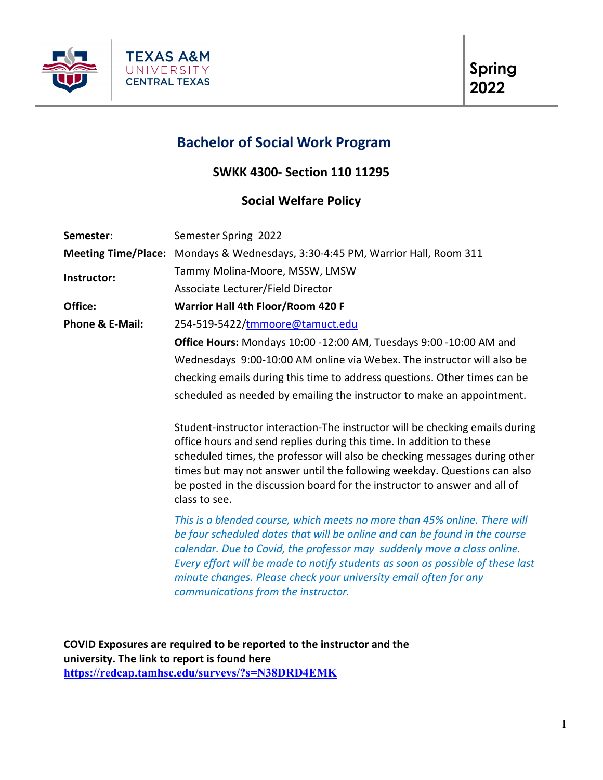

# **Bachelor of Social Work Program**

**SWKK 4300- Section 110 11295**

# **Social Welfare Policy**

| Semester:                  | Semester Spring 2022                                                                                                                                                                                                                                                                                                                                                                                                            |  |  |  |
|----------------------------|---------------------------------------------------------------------------------------------------------------------------------------------------------------------------------------------------------------------------------------------------------------------------------------------------------------------------------------------------------------------------------------------------------------------------------|--|--|--|
| <b>Meeting Time/Place:</b> | Mondays & Wednesdays, 3:30-4:45 PM, Warrior Hall, Room 311                                                                                                                                                                                                                                                                                                                                                                      |  |  |  |
| Instructor:                | Tammy Molina-Moore, MSSW, LMSW                                                                                                                                                                                                                                                                                                                                                                                                  |  |  |  |
|                            | Associate Lecturer/Field Director                                                                                                                                                                                                                                                                                                                                                                                               |  |  |  |
| Office:                    | Warrior Hall 4th Floor/Room 420 F                                                                                                                                                                                                                                                                                                                                                                                               |  |  |  |
| Phone & E-Mail:            | 254-519-5422/tmmoore@tamuct.edu                                                                                                                                                                                                                                                                                                                                                                                                 |  |  |  |
|                            | Office Hours: Mondays 10:00 -12:00 AM, Tuesdays 9:00 -10:00 AM and                                                                                                                                                                                                                                                                                                                                                              |  |  |  |
|                            | Wednesdays 9:00-10:00 AM online via Webex. The instructor will also be                                                                                                                                                                                                                                                                                                                                                          |  |  |  |
|                            | checking emails during this time to address questions. Other times can be                                                                                                                                                                                                                                                                                                                                                       |  |  |  |
|                            | scheduled as needed by emailing the instructor to make an appointment.                                                                                                                                                                                                                                                                                                                                                          |  |  |  |
|                            | Student-instructor interaction-The instructor will be checking emails during<br>office hours and send replies during this time. In addition to these<br>scheduled times, the professor will also be checking messages during other<br>times but may not answer until the following weekday. Questions can also<br>be posted in the discussion board for the instructor to answer and all of<br>class to see.                    |  |  |  |
|                            | This is a blended course, which meets no more than 45% online. There will<br>be four scheduled dates that will be online and can be found in the course<br>calendar. Due to Covid, the professor may suddenly move a class online.<br>Every effort will be made to notify students as soon as possible of these last<br>minute changes. Please check your university email often for any<br>communications from the instructor. |  |  |  |
|                            |                                                                                                                                                                                                                                                                                                                                                                                                                                 |  |  |  |

**COVID Exposures are required to be reported to the instructor and the university. The link to report is found here [https://redcap.tamhsc.edu/surveys/?s=N38DRD4EMK](https://nam04.safelinks.protection.outlook.com/?url=https%3A%2F%2Fredcap.tamhsc.edu%2Fsurveys%2F%3Fs%3DN38DRD4EMK&data=04%7C01%7Ctmmoore%40tamuct.edu%7C64bcc3defc584cb9922508d9d54bf433%7C9eed4e3000f744849ff193ad8005acec%7C0%7C0%7C637775344451949833%7CUnknown%7CTWFpbGZsb3d8eyJWIjoiMC4wLjAwMDAiLCJQIjoiV2luMzIiLCJBTiI6Ik1haWwiLCJXVCI6Mn0%3D%7C3000&sdata=hjwlJ0OKFXwdiY7Fy2ueYvIenCpm%2FbAPMxkHvsrpMmI%3D&reserved=0)**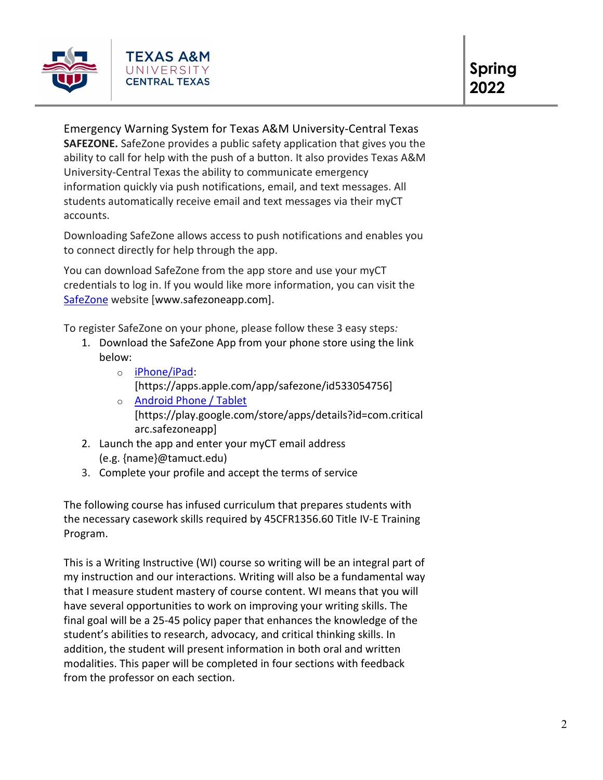

Emergency Warning System for Texas A&M University-Central Texas **SAFEZONE.** SafeZone provides a public safety application that gives you the ability to call for help with the push of a button. It also provides Texas A&M University-Central Texas the ability to communicate emergency information quickly via push notifications, email, and text messages. All students automatically receive email and text messages via their myCT accounts.

Downloading SafeZone allows access to push notifications and enables you to connect directly for help through the app.

You can download SafeZone from the app store and use your myCT credentials to log in. If you would like more information, you can visit the [SafeZone](http://www.safezoneapp.com/) website [www.safezoneapp.com].

To register SafeZone on your phone, please follow these 3 easy steps*:*

- 1. Download the SafeZone App from your phone store using the link below:
	- o [iPhone/iPad:](https://apps.apple.com/app/safezone/id533054756)
		- [https://apps.apple.com/app/safezone/id533054756]
	- o [Android Phone / Tablet](https://play.google.com/store/apps/details?id=com.criticalarc.safezoneapp) [https://play.google.com/store/apps/details?id=com.critical arc.safezoneapp]
- 2. Launch the app and enter your myCT email address (e.g. {name}@tamuct.edu)
- 3. Complete your profile and accept the terms of service

The following course has infused curriculum that prepares students with the necessary casework skills required by 45CFR1356.60 Title IV-E Training Program.

This is a Writing Instructive (WI) course so writing will be an integral part of my instruction and our interactions. Writing will also be a fundamental way that I measure student mastery of course content. WI means that you will have several opportunities to work on improving your writing skills. The final goal will be a 25-45 policy paper that enhances the knowledge of the student's abilities to research, advocacy, and critical thinking skills. In addition, the student will present information in both oral and written modalities. This paper will be completed in four sections with feedback from the professor on each section.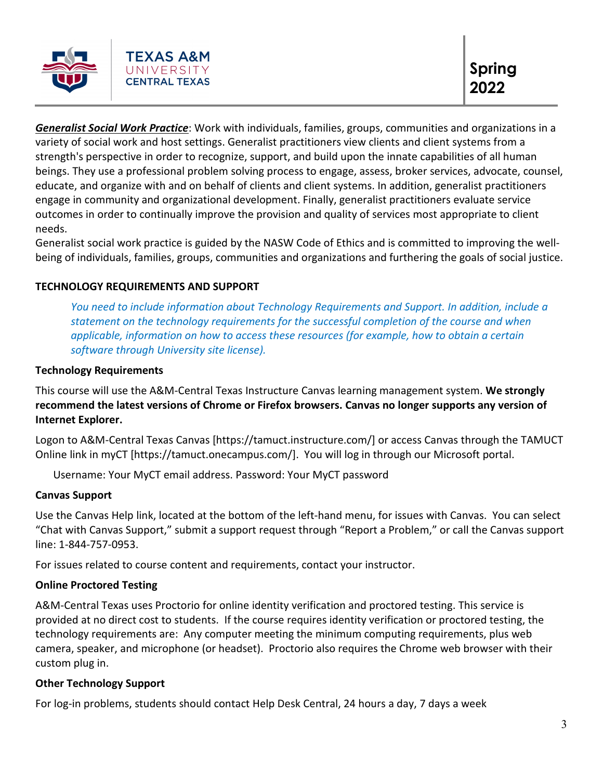

*Generalist Social Work Practice*: Work with individuals, families, groups, communities and organizations in a variety of social work and host settings. Generalist practitioners view clients and client systems from a strength's perspective in order to recognize, support, and build upon the innate capabilities of all human beings. They use a professional problem solving process to engage, assess, broker services, advocate, counsel, educate, and organize with and on behalf of clients and client systems. In addition, generalist practitioners engage in community and organizational development. Finally, generalist practitioners evaluate service outcomes in order to continually improve the provision and quality of services most appropriate to client needs.

Generalist social work practice is guided by the NASW Code of Ethics and is committed to improving the wellbeing of individuals, families, groups, communities and organizations and furthering the goals of social justice.

# **TECHNOLOGY REQUIREMENTS AND SUPPORT**

*You need to include information about Technology Requirements and Support. In addition, include a statement on the technology requirements for the successful completion of the course and when applicable, information on how to access these resources (for example, how to obtain a certain software through University site license).* 

#### **Technology Requirements**

This course will use the A&M-Central Texas Instructure Canvas learning management system. **We strongly recommend the latest versions of Chrome or Firefox browsers. Canvas no longer supports any version of Internet Explorer.**

Logon to A&M-Central Texas Canvas [https://tamuct.instructure.com/] or access Canvas through the TAMUCT Online link in myCT [https://tamuct.onecampus.com/]. You will log in through our Microsoft portal.

Username: Your MyCT email address. Password: Your MyCT password

# **Canvas Support**

Use the Canvas Help link, located at the bottom of the left-hand menu, for issues with Canvas. You can select "Chat with Canvas Support," submit a support request through "Report a Problem," or call the Canvas support line: 1-844-757-0953.

For issues related to course content and requirements, contact your instructor.

# **Online Proctored Testing**

A&M-Central Texas uses Proctorio for online identity verification and proctored testing. This service is provided at no direct cost to students. If the course requires identity verification or proctored testing, the technology requirements are: Any computer meeting the minimum computing requirements, plus web camera, speaker, and microphone (or headset). Proctorio also requires the Chrome web browser with their custom plug in.

# **Other Technology Support**

For log-in problems, students should contact Help Desk Central, 24 hours a day, 7 days a week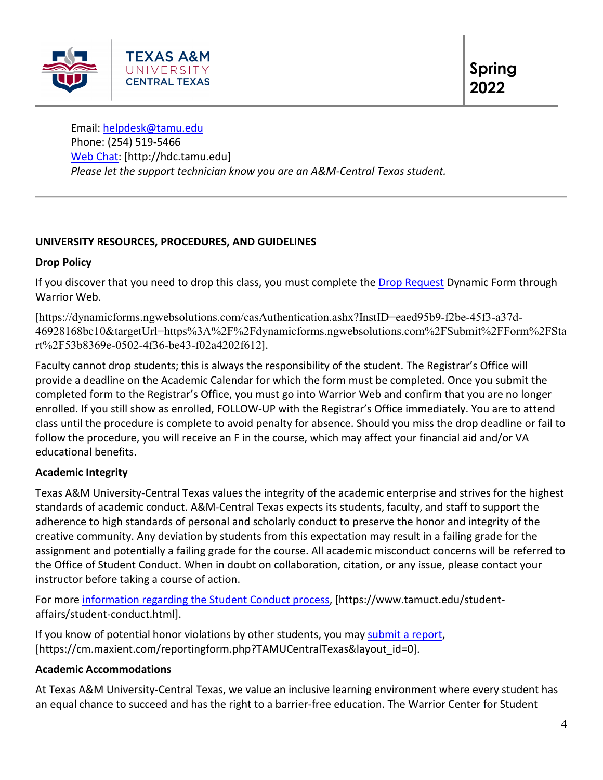

Email: [helpdesk@tamu.edu](mailto:helpdesk@tamu.edu) Phone: (254) 519-5466 [Web Chat:](http://hdc.tamu.edu/) [http://hdc.tamu.edu] *Please let the support technician know you are an A&M-Central Texas student.*

# **UNIVERSITY RESOURCES, PROCEDURES, AND GUIDELINES**

# **Drop Policy**

If you discover that you need to drop this class, you must complete the [Drop Request](https://dynamicforms.ngwebsolutions.com/casAuthentication.ashx?InstID=eaed95b9-f2be-45f3-a37d-46928168bc10&targetUrl=https%3A%2F%2Fdynamicforms.ngwebsolutions.com%2FSubmit%2FForm%2FStart%2F53b8369e-0502-4f36-be43-f02a4202f612) Dynamic Form through Warrior Web.

[https://dynamicforms.ngwebsolutions.com/casAuthentication.ashx?InstID=eaed95b9-f2be-45f3-a37d-46928168bc10&targetUrl=https%3A%2F%2Fdynamicforms.ngwebsolutions.com%2FSubmit%2FForm%2FSta rt%2F53b8369e-0502-4f36-be43-f02a4202f612].

Faculty cannot drop students; this is always the responsibility of the student. The Registrar's Office will provide a deadline on the Academic Calendar for which the form must be completed. Once you submit the completed form to the Registrar's Office, you must go into Warrior Web and confirm that you are no longer enrolled. If you still show as enrolled, FOLLOW-UP with the Registrar's Office immediately. You are to attend class until the procedure is complete to avoid penalty for absence. Should you miss the drop deadline or fail to follow the procedure, you will receive an F in the course, which may affect your financial aid and/or VA educational benefits.

# **Academic Integrity**

Texas A&M University-Central Texas values the integrity of the academic enterprise and strives for the highest standards of academic conduct. A&M-Central Texas expects its students, faculty, and staff to support the adherence to high standards of personal and scholarly conduct to preserve the honor and integrity of the creative community. Any deviation by students from this expectation may result in a failing grade for the assignment and potentially a failing grade for the course. All academic misconduct concerns will be referred to the Office of Student Conduct. When in doubt on collaboration, citation, or any issue, please contact your instructor before taking a course of action.

For more [information](https://nam04.safelinks.protection.outlook.com/?url=https%3A%2F%2Fwww.tamuct.edu%2Fstudent-affairs%2Fstudent-conduct.html&data=04%7C01%7Clisa.bunkowski%40tamuct.edu%7Ccfb6e486f24745f53e1a08d910055cb2%7C9eed4e3000f744849ff193ad8005acec%7C0%7C0%7C637558437485252160%7CUnknown%7CTWFpbGZsb3d8eyJWIjoiMC4wLjAwMDAiLCJQIjoiV2luMzIiLCJBTiI6Ik1haWwiLCJXVCI6Mn0%3D%7C1000&sdata=yjftDEVHvLX%2FhM%2FcFU0B99krV1RgEWR%2BJ%2BhvtoR6TYk%3D&reserved=0) regarding the Student Conduct process, [https://www.tamuct.edu/studentaffairs/student-conduct.html].

If you know of potential honor violations by other students, you may [submit](https://nam04.safelinks.protection.outlook.com/?url=https%3A%2F%2Fcm.maxient.com%2Freportingform.php%3FTAMUCentralTexas%26layout_id%3D0&data=04%7C01%7Clisa.bunkowski%40tamuct.edu%7Ccfb6e486f24745f53e1a08d910055cb2%7C9eed4e3000f744849ff193ad8005acec%7C0%7C0%7C637558437485262157%7CUnknown%7CTWFpbGZsb3d8eyJWIjoiMC4wLjAwMDAiLCJQIjoiV2luMzIiLCJBTiI6Ik1haWwiLCJXVCI6Mn0%3D%7C1000&sdata=CXGkOa6uPDPX1IMZ87z3aZDq2n91xfHKu4MMS43Ejjk%3D&reserved=0) a report, [https://cm.maxient.com/reportingform.php?TAMUCentralTexas&layout\_id=0].

# **Academic Accommodations**

At Texas A&M University-Central Texas, we value an inclusive learning environment where every student has an equal chance to succeed and has the right to a barrier-free education. The Warrior Center for Student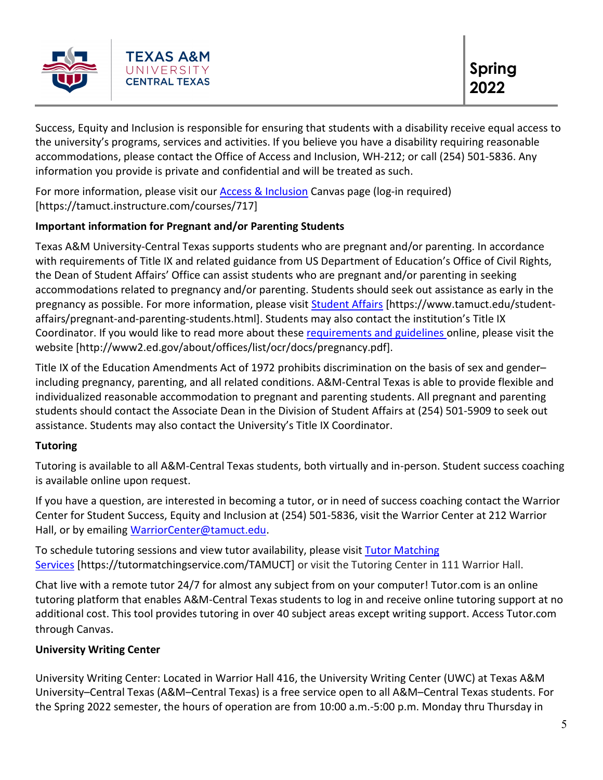

Success, Equity and Inclusion is responsible for ensuring that students with a disability receive equal access to the university's programs, services and activities. If you believe you have a disability requiring reasonable accommodations, please contact the Office of Access and Inclusion, WH-212; or call (254) 501-5836. Any information you provide is private and confidential and will be treated as such.

For more information, please visit our [Access & Inclusion](https://tamuct.instructure.com/courses/717) Canvas page (log-in required) [https://tamuct.instructure.com/courses/717]

# **Important information for Pregnant and/or Parenting Students**

Texas A&M University-Central Texas supports students who are pregnant and/or parenting. In accordance with requirements of Title IX and related guidance from US Department of Education's Office of Civil Rights, the Dean of Student Affairs' Office can assist students who are pregnant and/or parenting in seeking accommodations related to pregnancy and/or parenting. Students should seek out assistance as early in the pregnancy as possible. For more information, please visit [Student Affairs](https://www.tamuct.edu/student-affairs/pregnant-and-parenting-students.html) [https://www.tamuct.edu/studentaffairs/pregnant-and-parenting-students.html]. Students may also contact the institution's Title IX Coordinator. If you would like to read more about these [requirements and guidelines](http://www2.ed.gov/about/offices/list/ocr/docs/pregnancy.pdf) online, please visit the website [http://www2.ed.gov/about/offices/list/ocr/docs/pregnancy.pdf].

Title IX of the Education Amendments Act of 1972 prohibits discrimination on the basis of sex and gender– including pregnancy, parenting, and all related conditions. A&M-Central Texas is able to provide flexible and individualized reasonable accommodation to pregnant and parenting students. All pregnant and parenting students should contact the Associate Dean in the Division of Student Affairs at (254) 501-5909 to seek out assistance. Students may also contact the University's Title IX Coordinator.

# **Tutoring**

Tutoring is available to all A&M-Central Texas students, both virtually and in-person. Student success coaching is available online upon request.

If you have a question, are interested in becoming a tutor, or in need of success coaching contact the Warrior Center for Student Success, Equity and Inclusion at (254) 501-5836, visit the Warrior Center at 212 Warrior Hall, or by emailing [WarriorCenter@tamuct.edu.](mailto:WarriorCenter@tamuct.edu)

To schedule tutoring sessions and view tutor availability, please visit Tutor [Matching](https://tutormatchingservice.com/TAMUCT) [Services](https://tutormatchingservice.com/TAMUCT) [https://tutormatchingservice.com/TAMUCT] or visit the Tutoring Center in 111 Warrior Hall.

Chat live with a remote tutor 24/7 for almost any subject from on your computer! Tutor.com is an online tutoring platform that enables A&M-Central Texas students to log in and receive online tutoring support at no additional cost. This tool provides tutoring in over 40 subject areas except writing support. Access Tutor.com through Canvas.

# **University Writing Center**

University Writing Center: Located in Warrior Hall 416, the University Writing Center (UWC) at Texas A&M University–Central Texas (A&M–Central Texas) is a free service open to all A&M–Central Texas students. For the Spring 2022 semester, the hours of operation are from 10:00 a.m.-5:00 p.m. Monday thru Thursday in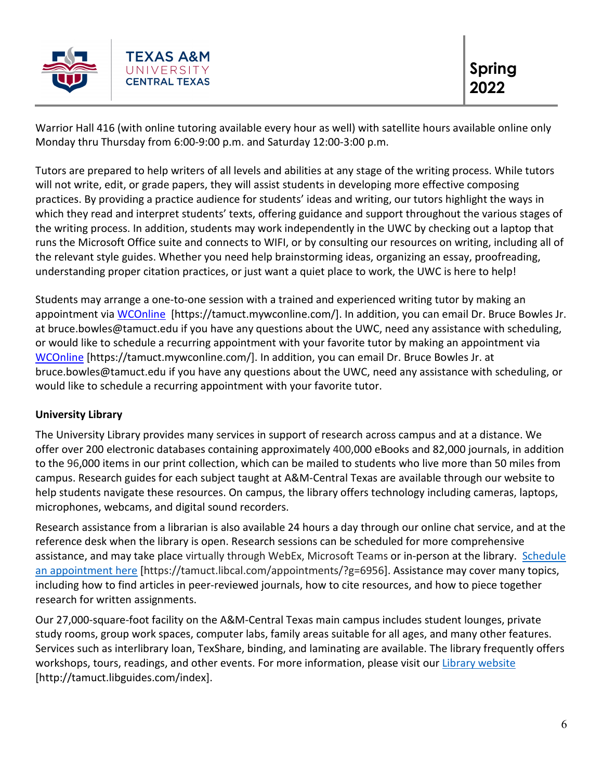

Warrior Hall 416 (with online tutoring available every hour as well) with satellite hours available online only Monday thru Thursday from 6:00-9:00 p.m. and Saturday 12:00-3:00 p.m.

Tutors are prepared to help writers of all levels and abilities at any stage of the writing process. While tutors will not write, edit, or grade papers, they will assist students in developing more effective composing practices. By providing a practice audience for students' ideas and writing, our tutors highlight the ways in which they read and interpret students' texts, offering guidance and support throughout the various stages of the writing process. In addition, students may work independently in the UWC by checking out a laptop that runs the Microsoft Office suite and connects to WIFI, or by consulting our resources on writing, including all of the relevant style guides. Whether you need help brainstorming ideas, organizing an essay, proofreading, understanding proper citation practices, or just want a quiet place to work, the UWC is here to help!

Students may arrange a one-to-one session with a trained and experienced writing tutor by making an appointment via [WCOnline](https://tamuct.mywconline.com/) [https://tamuct.mywconline.com/]. In addition, you can email Dr. Bruce Bowles Jr. at bruce.bowles@tamuct.edu if you have any questions about the UWC, need any assistance with scheduling, or would like to schedule a recurring appointment with your favorite tutor by making an appointment via [WCOnline](https://tamuct.mywconline.com/) [https://tamuct.mywconline.com/]. In addition, you can email Dr. Bruce Bowles Jr. at bruce.bowles@tamuct.edu if you have any questions about the UWC, need any assistance with scheduling, or would like to schedule a recurring appointment with your favorite tutor.

# **University Library**

The University Library provides many services in support of research across campus and at a distance. We offer over 200 electronic databases containing approximately 400,000 eBooks and 82,000 journals, in addition to the 96,000 items in our print collection, which can be mailed to students who live more than 50 miles from campus. Research guides for each subject taught at A&M-Central Texas are available through our website to help students navigate these resources. On campus, the library offers technology including cameras, laptops, microphones, webcams, and digital sound recorders.

Research assistance from a librarian is also available 24 hours a day through our online chat service, and at the reference desk when the library is open. Research sessions can be scheduled for more comprehensive assistance, and may take place virtually through WebEx, Microsoft Teams or in-person at the library. [Schedule](https://nam04.safelinks.protection.outlook.com/?url=https%3A%2F%2Ftamuct.libcal.com%2Fappointments%2F%3Fg%3D6956&data=04%7C01%7Clisa.bunkowski%40tamuct.edu%7Cde2c07d9f5804f09518008d9ab7ba6ff%7C9eed4e3000f744849ff193ad8005acec%7C0%7C0%7C637729369835011558%7CUnknown%7CTWFpbGZsb3d8eyJWIjoiMC4wLjAwMDAiLCJQIjoiV2luMzIiLCJBTiI6Ik1haWwiLCJXVCI6Mn0%3D%7C3000&sdata=KhtjgRSAw9aq%2FoBsB6wyu8b7PSuGN5EGPypzr3Ty2No%3D&reserved=0) an [appointment](https://nam04.safelinks.protection.outlook.com/?url=https%3A%2F%2Ftamuct.libcal.com%2Fappointments%2F%3Fg%3D6956&data=04%7C01%7Clisa.bunkowski%40tamuct.edu%7Cde2c07d9f5804f09518008d9ab7ba6ff%7C9eed4e3000f744849ff193ad8005acec%7C0%7C0%7C637729369835011558%7CUnknown%7CTWFpbGZsb3d8eyJWIjoiMC4wLjAwMDAiLCJQIjoiV2luMzIiLCJBTiI6Ik1haWwiLCJXVCI6Mn0%3D%7C3000&sdata=KhtjgRSAw9aq%2FoBsB6wyu8b7PSuGN5EGPypzr3Ty2No%3D&reserved=0) here [https://tamuct.libcal.com/appointments/?g=6956]. Assistance may cover many topics, including how to find articles in peer-reviewed journals, how to cite resources, and how to piece together research for written assignments.

Our 27,000-square-foot facility on the A&M-Central Texas main campus includes student lounges, private study rooms, group work spaces, computer labs, family areas suitable for all ages, and many other features. Services such as interlibrary loan, TexShare, binding, and laminating are available. The library frequently offers workshops, tours, readings, and other events. For more information, please visit our Library [website](https://nam04.safelinks.protection.outlook.com/?url=https%3A%2F%2Ftamuct.libguides.com%2Findex&data=04%7C01%7Clisa.bunkowski%40tamuct.edu%7C7d8489e8839a4915335f08d916f067f2%7C9eed4e3000f744849ff193ad8005acec%7C0%7C0%7C637566044056484222%7CUnknown%7CTWFpbGZsb3d8eyJWIjoiMC4wLjAwMDAiLCJQIjoiV2luMzIiLCJBTiI6Ik1haWwiLCJXVCI6Mn0%3D%7C1000&sdata=2R755V6rcIyedGrd4Os5rkgn1PvhHKU3kUV1vBKiHFo%3D&reserved=0) [http://tamuct.libguides.com/index].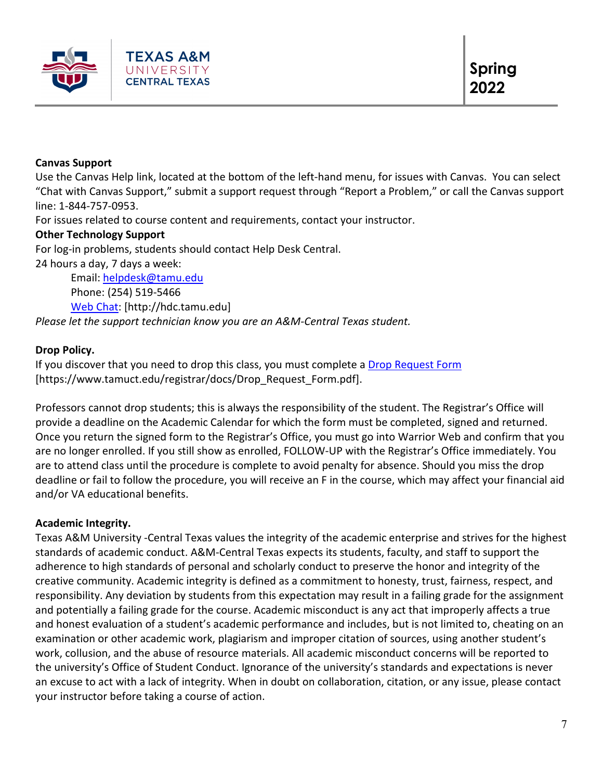

# **Canvas Support**

Use the Canvas Help link, located at the bottom of the left-hand menu, for issues with Canvas. You can select "Chat with Canvas Support," submit a support request through "Report a Problem," or call the Canvas support line: 1-844-757-0953.

For issues related to course content and requirements, contact your instructor.

# **Other Technology Support**

For log-in problems, students should contact Help Desk Central.

24 hours a day, 7 days a week:

Email: [helpdesk@tamu.edu](mailto:helpdesk@tamu.edu) Phone: (254) 519-5466 [Web Chat:](http://hdc.tamu.edu/) [http://hdc.tamu.edu] *Please let the support technician know you are an A&M-Central Texas student.*

# **Drop Policy.**

If you discover that you need to drop this class, you must complete a [Drop Request Form](https://www.tamuct.edu/registrar/docs/Drop_Request_Form.pdf) [https://www.tamuct.edu/registrar/docs/Drop\_Request\_Form.pdf].

Professors cannot drop students; this is always the responsibility of the student. The Registrar's Office will provide a deadline on the Academic Calendar for which the form must be completed, signed and returned. Once you return the signed form to the Registrar's Office, you must go into Warrior Web and confirm that you are no longer enrolled. If you still show as enrolled, FOLLOW-UP with the Registrar's Office immediately. You are to attend class until the procedure is complete to avoid penalty for absence. Should you miss the drop deadline or fail to follow the procedure, you will receive an F in the course, which may affect your financial aid and/or VA educational benefits.

# **Academic Integrity.**

Texas A&M University -Central Texas values the integrity of the academic enterprise and strives for the highest standards of academic conduct. A&M-Central Texas expects its students, faculty, and staff to support the adherence to high standards of personal and scholarly conduct to preserve the honor and integrity of the creative community. Academic integrity is defined as a commitment to honesty, trust, fairness, respect, and responsibility. Any deviation by students from this expectation may result in a failing grade for the assignment and potentially a failing grade for the course. Academic misconduct is any act that improperly affects a true and honest evaluation of a student's academic performance and includes, but is not limited to, cheating on an examination or other academic work, plagiarism and improper citation of sources, using another student's work, collusion, and the abuse of resource materials. All academic misconduct concerns will be reported to the university's Office of Student Conduct. Ignorance of the university's standards and expectations is never an excuse to act with a lack of integrity. When in doubt on collaboration, citation, or any issue, please contact your instructor before taking a course of action.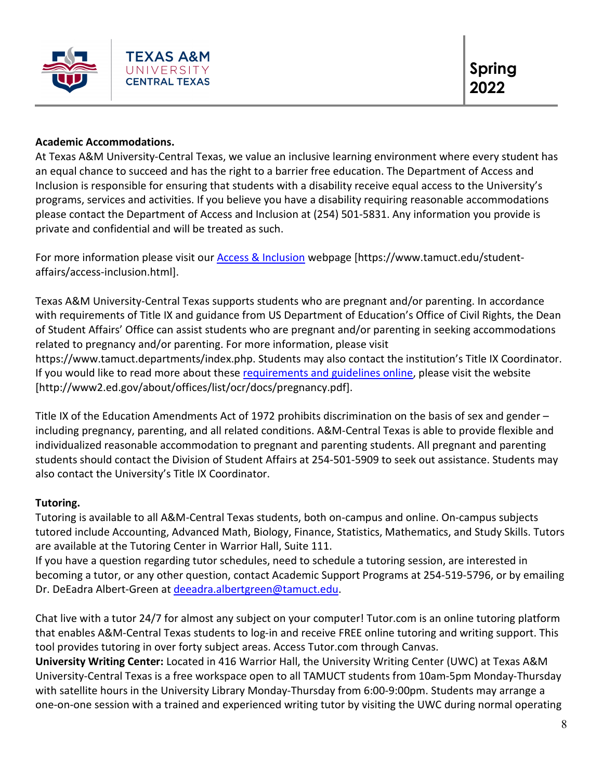

# **Academic Accommodations.**

At Texas A&M University-Central Texas, we value an inclusive learning environment where every student has an equal chance to succeed and has the right to a barrier free education. The Department of Access and Inclusion is responsible for ensuring that students with a disability receive equal access to the University's programs, services and activities. If you believe you have a disability requiring reasonable accommodations please contact the Department of Access and Inclusion at (254) 501-5831. Any information you provide is private and confidential and will be treated as such.

For more information please visit our [Access & Inclusion](https://www.tamuct.edu/student-affairs/access-inclusion.html) webpage [https://www.tamuct.edu/studentaffairs/access-inclusion.html].

Texas A&M University-Central Texas supports students who are pregnant and/or parenting. In accordance with requirements of Title IX and guidance from US Department of Education's Office of Civil Rights, the Dean of Student Affairs' Office can assist students who are pregnant and/or parenting in seeking accommodations related to pregnancy and/or parenting. For more information, please visit https://www.tamuct.departments/index.php. Students may also contact the institution's Title IX Coordinator. If you would like to read more about thes[e requirements and guidelines](http://www2.ed.gov/about/offices/list/ocr/docs/pregnancy.pdf) online, please visit the website [http://www2.ed.gov/about/offices/list/ocr/docs/pregnancy.pdf].

Title IX of the Education Amendments Act of 1972 prohibits discrimination on the basis of sex and gender – including pregnancy, parenting, and all related conditions. A&M-Central Texas is able to provide flexible and individualized reasonable accommodation to pregnant and parenting students. All pregnant and parenting students should contact the Division of Student Affairs at 254-501-5909 to seek out assistance. Students may also contact the University's Title IX Coordinator.

# **Tutoring.**

Tutoring is available to all A&M-Central Texas students, both on-campus and online. On-campus subjects tutored include Accounting, Advanced Math, Biology, Finance, Statistics, Mathematics, and Study Skills. Tutors are available at the Tutoring Center in Warrior Hall, Suite 111.

If you have a question regarding tutor schedules, need to schedule a tutoring session, are interested in becoming a tutor, or any other question, contact Academic Support Programs at 254-519-5796, or by emailing Dr. DeEadra Albert-Green at [deeadra.albertgreen@tamuct.edu.](mailto:deeadra.albertgreen@tamuct.edu)

Chat live with a tutor 24/7 for almost any subject on your computer! Tutor.com is an online tutoring platform that enables A&M-Central Texas students to log-in and receive FREE online tutoring and writing support. This tool provides tutoring in over forty subject areas. Access Tutor.com through Canvas.

**University Writing Center:** Located in 416 Warrior Hall, the University Writing Center (UWC) at Texas A&M University-Central Texas is a free workspace open to all TAMUCT students from 10am-5pm Monday-Thursday with satellite hours in the University Library Monday-Thursday from 6:00-9:00pm. Students may arrange a one-on-one session with a trained and experienced writing tutor by visiting the UWC during normal operating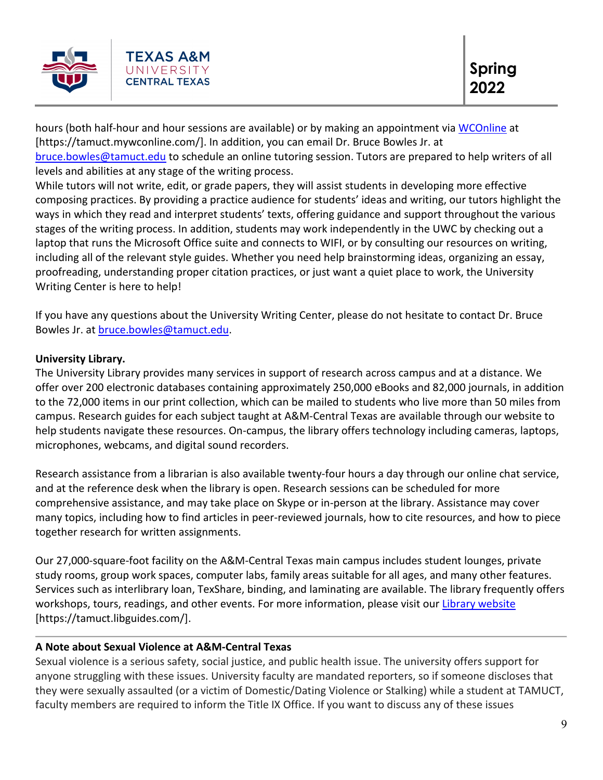

hours (both half-hour and hour sessions are available) or by making an appointment via [WCOnline](https://tamuct.mywconline.com/) at [https://tamuct.mywconline.com/]. In addition, you can email Dr. Bruce Bowles Jr. at [bruce.bowles@tamuct.edu](mailto:bruce.bowles@tamuct.edu) to schedule an online tutoring session. Tutors are prepared to help writers of all

levels and abilities at any stage of the writing process.

While tutors will not write, edit, or grade papers, they will assist students in developing more effective composing practices. By providing a practice audience for students' ideas and writing, our tutors highlight the ways in which they read and interpret students' texts, offering guidance and support throughout the various stages of the writing process. In addition, students may work independently in the UWC by checking out a laptop that runs the Microsoft Office suite and connects to WIFI, or by consulting our resources on writing, including all of the relevant style guides. Whether you need help brainstorming ideas, organizing an essay, proofreading, understanding proper citation practices, or just want a quiet place to work, the University Writing Center is here to help!

If you have any questions about the University Writing Center, please do not hesitate to contact Dr. Bruce Bowles Jr. at [bruce.bowles@tamuct.edu.](mailto:bruce.bowles@tamuct.edu)

# **University Library.**

The University Library provides many services in support of research across campus and at a distance. We offer over 200 electronic databases containing approximately 250,000 eBooks and 82,000 journals, in addition to the 72,000 items in our print collection, which can be mailed to students who live more than 50 miles from campus. Research guides for each subject taught at A&M-Central Texas are available through our website to help students navigate these resources. On-campus, the library offers technology including cameras, laptops, microphones, webcams, and digital sound recorders.

Research assistance from a librarian is also available twenty-four hours a day through our online chat service, and at the reference desk when the library is open. Research sessions can be scheduled for more comprehensive assistance, and may take place on Skype or in-person at the library. Assistance may cover many topics, including how to find articles in peer-reviewed journals, how to cite resources, and how to piece together research for written assignments.

Our 27,000-square-foot facility on the A&M-Central Texas main campus includes student lounges, private study rooms, group work spaces, computer labs, family areas suitable for all ages, and many other features. Services such as interlibrary loan, TexShare, binding, and laminating are available. The library frequently offers workshops, tours, readings, and other events. For more information, please visit our [Library website](https://tamuct.libguides.com/) [https://tamuct.libguides.com/].

# **A Note about Sexual Violence at A&M-Central Texas**

Sexual violence is a serious safety, social justice, and public health issue. The university offers support for anyone struggling with these issues. University faculty are mandated reporters, so if someone discloses that they were sexually assaulted (or a victim of Domestic/Dating Violence or Stalking) while a student at TAMUCT, faculty members are required to inform the Title IX Office. If you want to discuss any of these issues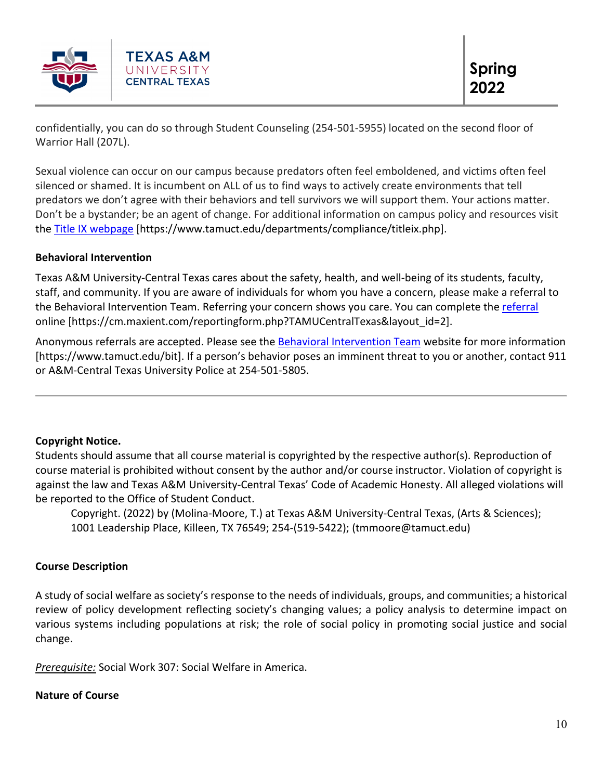

confidentially, you can do so through Student Counseling (254-501-5955) located on the second floor of Warrior Hall (207L).

Sexual violence can occur on our campus because predators often feel emboldened, and victims often feel silenced or shamed. It is incumbent on ALL of us to find ways to actively create environments that tell predators we don't agree with their behaviors and tell survivors we will support them. Your actions matter. Don't be a bystander; be an agent of change. For additional information on campus policy and resources visit the [Title IX webpage](https://www.tamuct.edu/departments/compliance/titleix.php) [https://www.tamuct.edu/departments/compliance/titleix.php].

# **Behavioral Intervention**

Texas A&M University-Central Texas cares about the safety, health, and well-being of its students, faculty, staff, and community. If you are aware of individuals for whom you have a concern, please make a referral to the Behavioral Intervention Team. Referring your concern shows you care. You can complete the [referral](https://cm.maxient.com/reportingform.php?TAMUCentralTexas&layout_id=2) online [https://cm.maxient.com/reportingform.php?TAMUCentralTexas&layout\_id=2].

Anonymous referrals are accepted. Please see the [Behavioral Intervention Team](https://www.tamuct.edu/bit) website for more information [https://www.tamuct.edu/bit]. If a person's behavior poses an imminent threat to you or another, contact 911 or A&M-Central Texas University Police at 254-501-5805.

# **Copyright Notice.**

Students should assume that all course material is copyrighted by the respective author(s). Reproduction of course material is prohibited without consent by the author and/or course instructor. Violation of copyright is against the law and Texas A&M University-Central Texas' Code of Academic Honesty. All alleged violations will be reported to the Office of Student Conduct.

Copyright. (2022) by (Molina-Moore, T.) at Texas A&M University-Central Texas, (Arts & Sciences); 1001 Leadership Place, Killeen, TX 76549; 254-(519-5422); (tmmoore@tamuct.edu)

# **Course Description**

A study of social welfare as society's response to the needs of individuals, groups, and communities; a historical review of policy development reflecting society's changing values; a policy analysis to determine impact on various systems including populations at risk; the role of social policy in promoting social justice and social change.

*Prerequisite:* Social Work 307: Social Welfare in America.

#### **Nature of Course**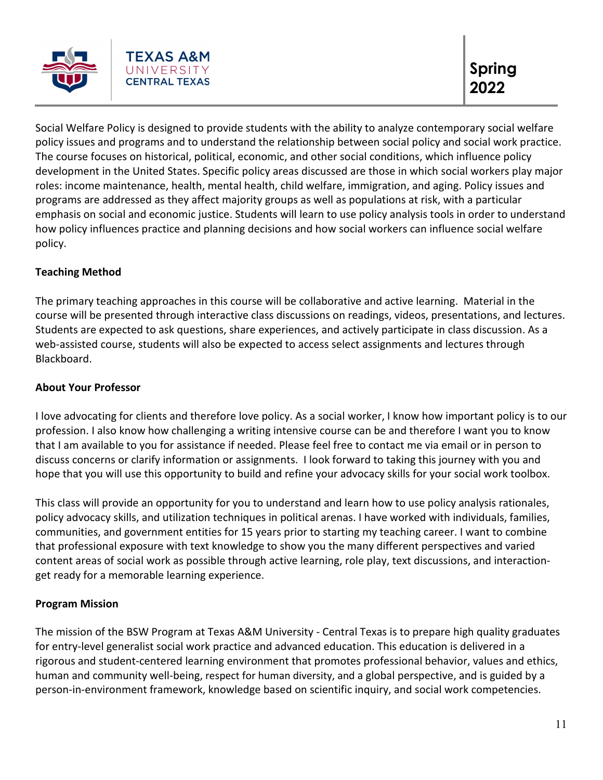

Social Welfare Policy is designed to provide students with the ability to analyze contemporary social welfare policy issues and programs and to understand the relationship between social policy and social work practice. The course focuses on historical, political, economic, and other social conditions, which influence policy development in the United States. Specific policy areas discussed are those in which social workers play major roles: income maintenance, health, mental health, child welfare, immigration, and aging. Policy issues and programs are addressed as they affect majority groups as well as populations at risk, with a particular emphasis on social and economic justice. Students will learn to use policy analysis tools in order to understand how policy influences practice and planning decisions and how social workers can influence social welfare policy.

# **Teaching Method**

The primary teaching approaches in this course will be collaborative and active learning. Material in the course will be presented through interactive class discussions on readings, videos, presentations, and lectures. Students are expected to ask questions, share experiences, and actively participate in class discussion. As a web-assisted course, students will also be expected to access select assignments and lectures through Blackboard.

# **About Your Professor**

I love advocating for clients and therefore love policy. As a social worker, I know how important policy is to our profession. I also know how challenging a writing intensive course can be and therefore I want you to know that I am available to you for assistance if needed. Please feel free to contact me via email or in person to discuss concerns or clarify information or assignments. I look forward to taking this journey with you and hope that you will use this opportunity to build and refine your advocacy skills for your social work toolbox.

This class will provide an opportunity for you to understand and learn how to use policy analysis rationales, policy advocacy skills, and utilization techniques in political arenas. I have worked with individuals, families, communities, and government entities for 15 years prior to starting my teaching career. I want to combine that professional exposure with text knowledge to show you the many different perspectives and varied content areas of social work as possible through active learning, role play, text discussions, and interactionget ready for a memorable learning experience.

# **Program Mission**

The mission of the BSW Program at Texas A&M University - Central Texas is to prepare high quality graduates for entry-level generalist social work practice and advanced education. This education is delivered in a rigorous and student-centered learning environment that promotes professional behavior, values and ethics, human and community well-being, respect for human diversity, and a global perspective, and is guided by a person-in-environment framework, knowledge based on scientific inquiry, and social work competencies.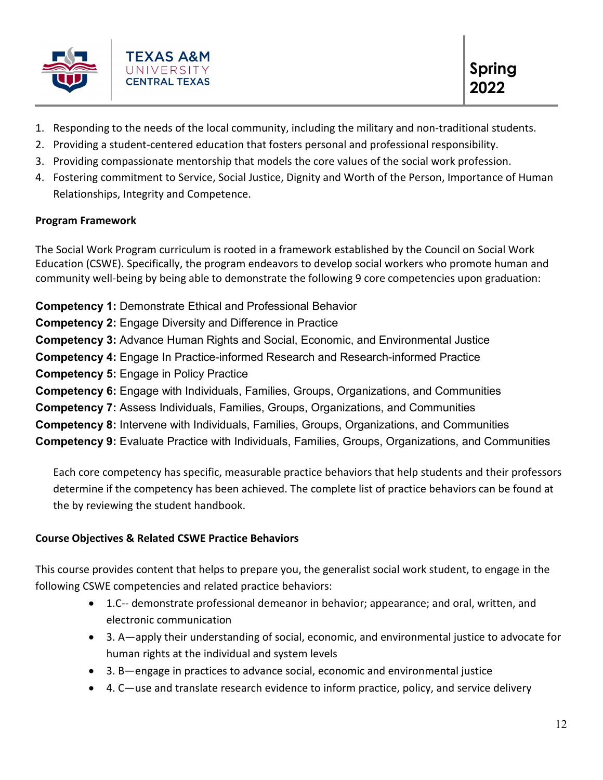

- 1. Responding to the needs of the local community, including the military and non-traditional students.
- 2. Providing a student-centered education that fosters personal and professional responsibility.
- 3. Providing compassionate mentorship that models the core values of the social work profession.
- 4. Fostering commitment to Service, Social Justice, Dignity and Worth of the Person, Importance of Human Relationships, Integrity and Competence.

# **Program Framework**

The Social Work Program curriculum is rooted in a framework established by the Council on Social Work Education (CSWE). Specifically, the program endeavors to develop social workers who promote human and community well-being by being able to demonstrate the following 9 core competencies upon graduation:

**Competency 1:** Demonstrate Ethical and Professional Behavior

**Competency 2:** Engage Diversity and Difference in Practice

**Competency 3:** Advance Human Rights and Social, Economic, and Environmental Justice

**Competency 4:** Engage In Practice-informed Research and Research-informed Practice

- **Competency 5:** Engage in Policy Practice
- **Competency 6:** Engage with Individuals, Families, Groups, Organizations, and Communities
- **Competency 7:** Assess Individuals, Families, Groups, Organizations, and Communities
- **Competency 8:** Intervene with Individuals, Families, Groups, Organizations, and Communities

**Competency 9:** Evaluate Practice with Individuals, Families, Groups, Organizations, and Communities

Each core competency has specific, measurable practice behaviors that help students and their professors determine if the competency has been achieved. The complete list of practice behaviors can be found at the by reviewing the student handbook.

# **Course Objectives & Related CSWE Practice Behaviors**

This course provides content that helps to prepare you, the generalist social work student, to engage in the following CSWE competencies and related practice behaviors:

- 1.C-- demonstrate professional demeanor in behavior; appearance; and oral, written, and electronic communication
- 3. A—apply their understanding of social, economic, and environmental justice to advocate for human rights at the individual and system levels
- 3. B—engage in practices to advance social, economic and environmental justice
- 4. C—use and translate research evidence to inform practice, policy, and service delivery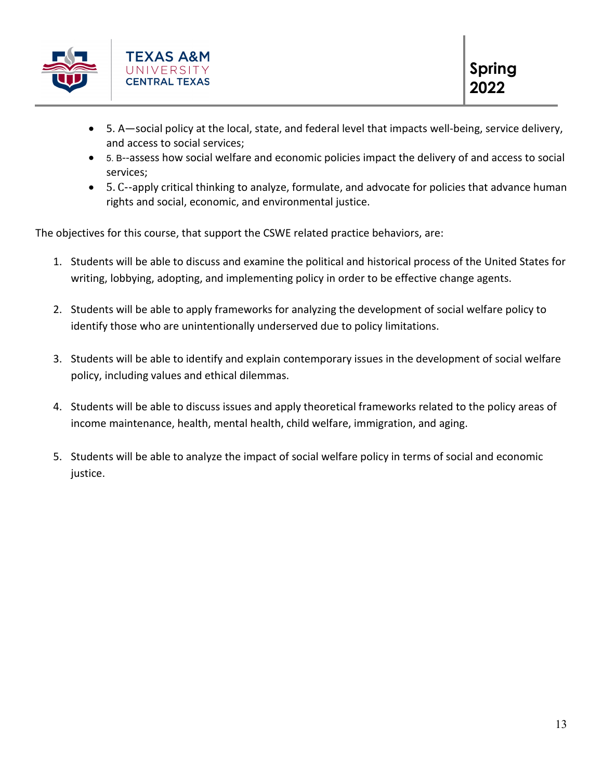

- 5. A—social policy at the local, state, and federal level that impacts well-being, service delivery, and access to social services;
- 5. B--assess how social welfare and economic policies impact the delivery of and access to social services;
- 5. C--apply critical thinking to analyze, formulate, and advocate for policies that advance human rights and social, economic, and environmental justice.

The objectives for this course, that support the CSWE related practice behaviors, are:

- 1. Students will be able to discuss and examine the political and historical process of the United States for writing, lobbying, adopting, and implementing policy in order to be effective change agents.
- 2. Students will be able to apply frameworks for analyzing the development of social welfare policy to identify those who are unintentionally underserved due to policy limitations.
- 3. Students will be able to identify and explain contemporary issues in the development of social welfare policy, including values and ethical dilemmas.
- 4. Students will be able to discuss issues and apply theoretical frameworks related to the policy areas of income maintenance, health, mental health, child welfare, immigration, and aging.
- 5. Students will be able to analyze the impact of social welfare policy in terms of social and economic justice.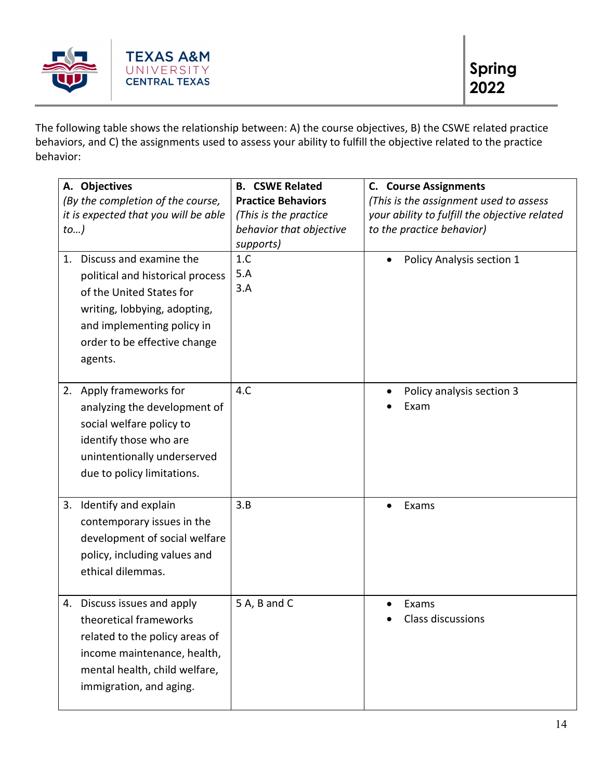

The following table shows the relationship between: A) the course objectives, B) the CSWE related practice behaviors, and C) the assignments used to assess your ability to fulfill the objective related to the practice behavior:

| A. Objectives<br>(By the completion of the course,<br>it is expected that you will be able<br>$to$ )                                                                                                   | <b>B. CSWE Related</b><br><b>Practice Behaviors</b><br>(This is the practice<br>behavior that objective<br>supports) | <b>C.</b> Course Assignments<br>(This is the assignment used to assess<br>your ability to fulfill the objective related<br>to the practice behavior) |
|--------------------------------------------------------------------------------------------------------------------------------------------------------------------------------------------------------|----------------------------------------------------------------------------------------------------------------------|------------------------------------------------------------------------------------------------------------------------------------------------------|
| Discuss and examine the<br>1.<br>political and historical process<br>of the United States for<br>writing, lobbying, adopting,<br>and implementing policy in<br>order to be effective change<br>agents. | 1.C<br>5.A<br>3.A                                                                                                    | Policy Analysis section 1                                                                                                                            |
| Apply frameworks for<br>2.<br>analyzing the development of<br>social welfare policy to<br>identify those who are<br>unintentionally underserved<br>due to policy limitations.                          | 4.C                                                                                                                  | Policy analysis section 3<br>Exam                                                                                                                    |
| 3. Identify and explain<br>contemporary issues in the<br>development of social welfare<br>policy, including values and<br>ethical dilemmas.                                                            | 3.B                                                                                                                  | Exams                                                                                                                                                |
| 4. Discuss issues and apply<br>theoretical frameworks<br>related to the policy areas of<br>income maintenance, health,<br>mental health, child welfare,<br>immigration, and aging.                     | 5 A, B and C                                                                                                         | Exams<br><b>Class discussions</b>                                                                                                                    |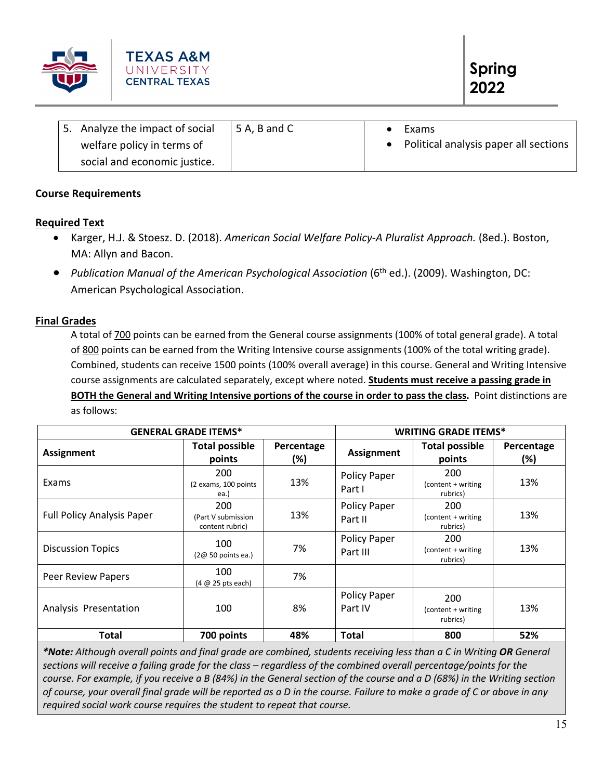

| 5. Analyze the impact of social | 5 A, B and C | Exams                                 |
|---------------------------------|--------------|---------------------------------------|
| welfare policy in terms of      |              | Political analysis paper all sections |
| social and economic justice.    |              |                                       |

# **Course Requirements**

# **Required Text**

- Karger, H.J. & Stoesz. D. (2018). *American Social Welfare Policy-A Pluralist Approach.* (8ed.). Boston, MA: Allyn and Bacon.
- *Publication Manual of the American Psychological Association* (6<sup>th</sup> ed.). (2009). Washington, DC: American Psychological Association.

# **Final Grades**

A total of 700 points can be earned from the General course assignments (100% of total general grade). A total of 800 points can be earned from the Writing Intensive course assignments (100% of the total writing grade). Combined, students can receive 1500 points (100% overall average) in this course. General and Writing Intensive course assignments are calculated separately, except where noted. **Students must receive a passing grade in BOTH the General and Writing Intensive portions of the course in order to pass the class.** Point distinctions are as follows:

| <b>GENERAL GRADE ITEMS*</b>       |                                              |                   | <b>WRITING GRADE ITEMS*</b>     |                                       |                   |
|-----------------------------------|----------------------------------------------|-------------------|---------------------------------|---------------------------------------|-------------------|
| <b>Assignment</b>                 | <b>Total possible</b><br>points              | Percentage<br>(%) | <b>Assignment</b>               | <b>Total possible</b><br>points       | Percentage<br>(%) |
| Exams                             | 200<br>(2 exams, 100 points<br>ea.)          | 13%               | <b>Policy Paper</b><br>Part I   | 200<br>(content + writing<br>rubrics) | 13%               |
| <b>Full Policy Analysis Paper</b> | 200<br>(Part V submission<br>content rubric) | 13%               | <b>Policy Paper</b><br>Part II  | 200<br>(content + writing<br>rubrics) | 13%               |
| <b>Discussion Topics</b>          | 100<br>$(2@ 50$ points ea.)                  | 7%                | <b>Policy Paper</b><br>Part III | 200<br>(content + writing<br>rubrics) | 13%               |
| Peer Review Papers                | 100<br>$(4 \n\omega 25 pts each)$            | 7%                |                                 |                                       |                   |
| Analysis Presentation             | 100                                          | 8%                | <b>Policy Paper</b><br>Part IV  | 200<br>(content + writing<br>rubrics) | 13%               |
| <b>Total</b>                      | 700 points                                   | 48%               | <b>Total</b>                    | 800                                   | 52%               |

*\*Note: Although overall points and final grade are combined, students receiving less than a C in Writing OR General sections will receive a failing grade for the class – regardless of the combined overall percentage/points for the course. For example, if you receive a B (84%) in the General section of the course and a D (68%) in the Writing section of course, your overall final grade will be reported as a D in the course. Failure to make a grade of C or above in any required social work course requires the student to repeat that course.*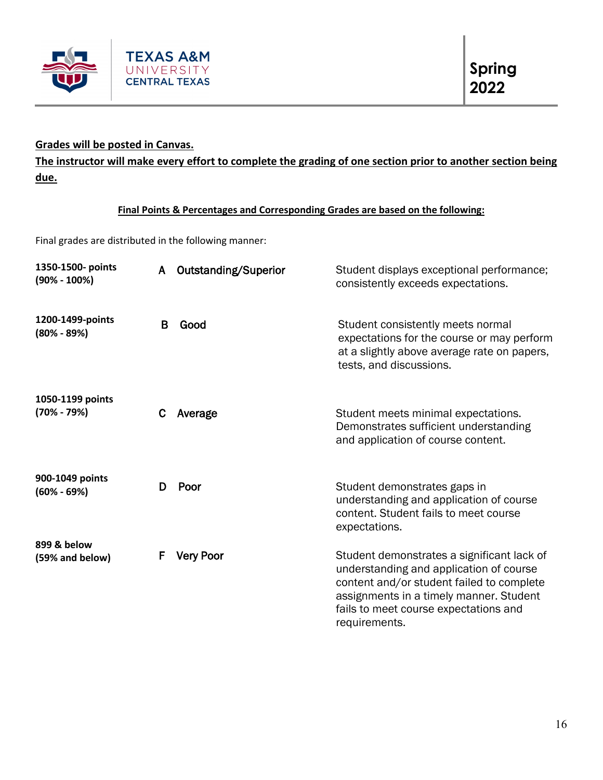

# **Grades will be posted in Canvas.**

**The instructor will make every effort to complete the grading of one section prior to another section being due.** 

# **Final Points & Percentages and Corresponding Grades are based on the following:**

Final grades are distributed in the following manner:

| 1350-1500- points<br>$(90\% - 100\%)$ | A | Outstanding/Superior | Student displays exceptional performance;<br>consistently exceeds expectations.                                                                                                                                                         |
|---------------------------------------|---|----------------------|-----------------------------------------------------------------------------------------------------------------------------------------------------------------------------------------------------------------------------------------|
| 1200-1499-points<br>$(80\% - 89\%)$   | B | Good                 | Student consistently meets normal<br>expectations for the course or may perform<br>at a slightly above average rate on papers,<br>tests, and discussions.                                                                               |
| 1050-1199 points<br>$(70\% - 79\%)$   | C | Average              | Student meets minimal expectations.<br>Demonstrates sufficient understanding<br>and application of course content.                                                                                                                      |
| 900-1049 points<br>$(60\% - 69\%)$    | D | Poor                 | Student demonstrates gaps in<br>understanding and application of course<br>content. Student fails to meet course<br>expectations.                                                                                                       |
| 899 & below<br>(59% and below)        | F | <b>Very Poor</b>     | Student demonstrates a significant lack of<br>understanding and application of course<br>content and/or student failed to complete<br>assignments in a timely manner. Student<br>fails to meet course expectations and<br>requirements. |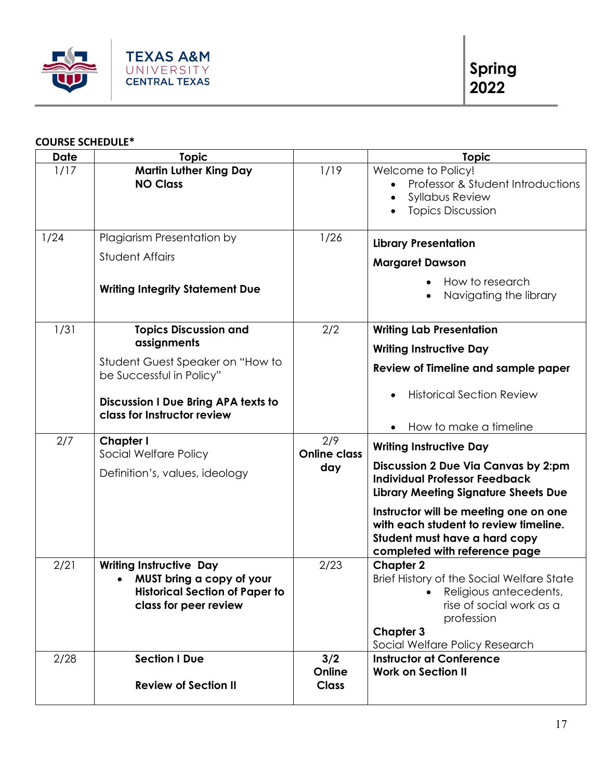

# **COURSE SCHEDULE\***

| <b>Date</b> | <b>Topic</b>                                                                                                                                                                      |                                   | <b>Topic</b>                                                                                                                                                                                                                                                                                                            |
|-------------|-----------------------------------------------------------------------------------------------------------------------------------------------------------------------------------|-----------------------------------|-------------------------------------------------------------------------------------------------------------------------------------------------------------------------------------------------------------------------------------------------------------------------------------------------------------------------|
| 1/17        | <b>Martin Luther King Day</b><br><b>NO Class</b>                                                                                                                                  | 1/19                              | Welcome to Policy!<br>Professor & Student Introductions<br><b>Syllabus Review</b><br><b>Topics Discussion</b>                                                                                                                                                                                                           |
| 1/24        | Plagiarism Presentation by<br><b>Student Affairs</b><br><b>Writing Integrity Statement Due</b>                                                                                    | 1/26                              | <b>Library Presentation</b><br><b>Margaret Dawson</b><br>How to research<br>Navigating the library<br>$\bullet$                                                                                                                                                                                                         |
| 1/31        | <b>Topics Discussion and</b><br>assignments<br>Student Guest Speaker on "How to<br>be Successful in Policy"<br>Discussion I Due Bring APA texts to<br>class for Instructor review | 2/2                               | <b>Writing Lab Presentation</b><br><b>Writing Instructive Day</b><br>Review of Timeline and sample paper<br><b>Historical Section Review</b><br>How to make a timeline                                                                                                                                                  |
| 2/7         | Chapter I<br>Social Welfare Policy<br>Definition's, values, ideology                                                                                                              | 2/9<br><b>Online class</b><br>day | <b>Writing Instructive Day</b><br><b>Discussion 2 Due Via Canvas by 2:pm</b><br><b>Individual Professor Feedback</b><br><b>Library Meeting Signature Sheets Due</b><br>Instructor will be meeting one on one<br>with each student to review timeline.<br>Student must have a hard copy<br>completed with reference page |
| 2/21        | <b>Writing Instructive Day</b><br>MUST bring a copy of your<br><b>Historical Section of Paper to</b><br>class for peer review                                                     | 2/23                              | <b>Chapter 2</b><br>Brief History of the Social Welfare State<br>Religious antecedents,<br>rise of social work as a<br>profession<br><b>Chapter 3</b><br>Social Welfare Policy Research                                                                                                                                 |
| 2/28        | <b>Section I Due</b><br><b>Review of Section II</b>                                                                                                                               | 3/2<br>Online<br><b>Class</b>     | <b>Instructor at Conference</b><br><b>Work on Section II</b>                                                                                                                                                                                                                                                            |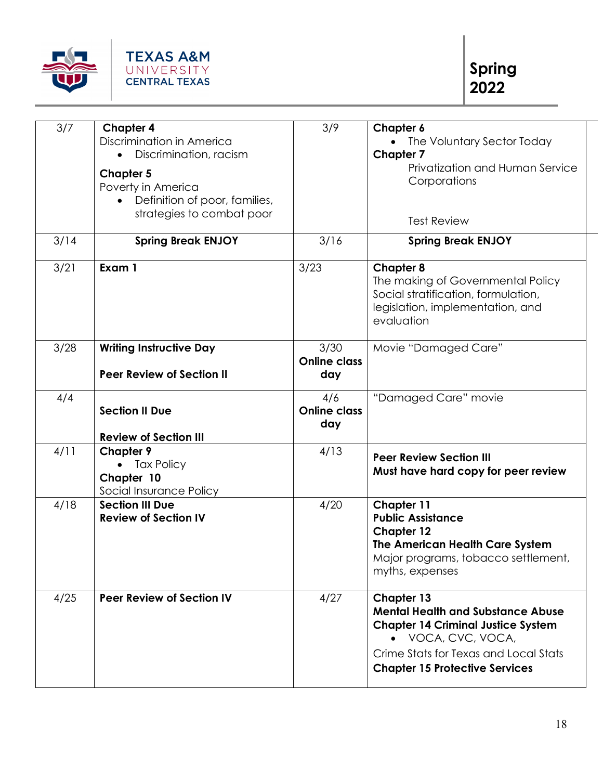

| 3/7  | <b>Chapter 4</b><br>Discrimination in America<br>Discrimination, racism<br><b>Chapter 5</b><br>Poverty in America<br>Definition of poor, families,<br>$\bullet$<br>strategies to combat poor | 3/9                                | Chapter 6<br>• The Voluntary Sector Today<br><b>Chapter 7</b><br>Privatization and Human Service<br>Corporations<br><b>Test Review</b>                                                                             |
|------|----------------------------------------------------------------------------------------------------------------------------------------------------------------------------------------------|------------------------------------|--------------------------------------------------------------------------------------------------------------------------------------------------------------------------------------------------------------------|
| 3/14 | <b>Spring Break ENJOY</b>                                                                                                                                                                    | 3/16                               | <b>Spring Break ENJOY</b>                                                                                                                                                                                          |
| 3/21 | Exam 1                                                                                                                                                                                       | 3/23                               | <b>Chapter 8</b><br>The making of Governmental Policy<br>Social stratification, formulation,<br>legislation, implementation, and<br>evaluation                                                                     |
| 3/28 | <b>Writing Instructive Day</b><br><b>Peer Review of Section II</b>                                                                                                                           | 3/30<br><b>Online class</b><br>day | Movie "Damaged Care"                                                                                                                                                                                               |
| 4/4  | <b>Section II Due</b><br><b>Review of Section III</b>                                                                                                                                        | 4/6<br><b>Online class</b><br>day  | "Damaged Care" movie                                                                                                                                                                                               |
| 4/11 | <b>Chapter 9</b><br><b>Tax Policy</b><br>$\bullet$<br>Chapter 10<br>Social Insurance Policy                                                                                                  | 4/13                               | <b>Peer Review Section III</b><br>Must have hard copy for peer review                                                                                                                                              |
| 4/18 | <b>Section III Due</b><br><b>Review of Section IV</b>                                                                                                                                        | 4/20                               | <b>Chapter 11</b><br><b>Public Assistance</b><br><b>Chapter 12</b><br>The American Health Care System<br>Major programs, tobacco settlement,<br>myths, expenses                                                    |
| 4/25 | <b>Peer Review of Section IV</b>                                                                                                                                                             | 4/27                               | <b>Chapter 13</b><br><b>Mental Health and Substance Abuse</b><br><b>Chapter 14 Criminal Justice System</b><br>• VOCA, CVC, VOCA,<br>Crime Stats for Texas and Local Stats<br><b>Chapter 15 Protective Services</b> |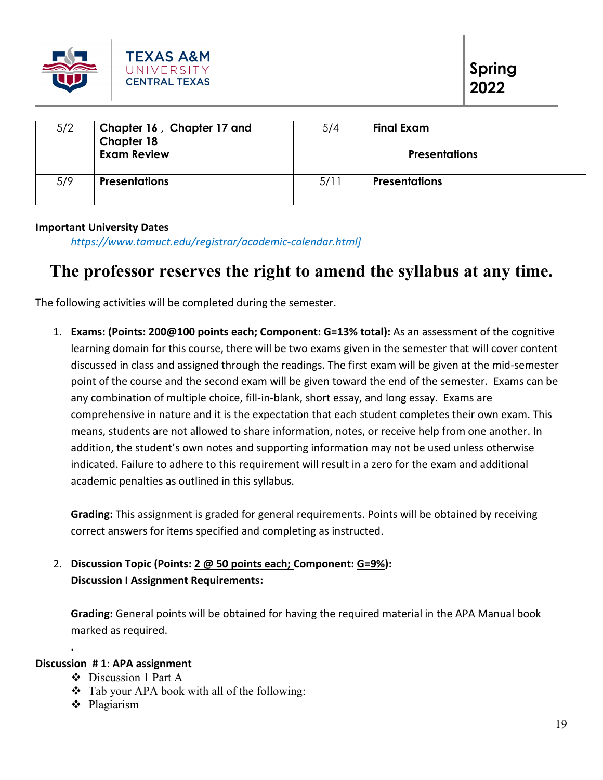

| 5/2 | Chapter 16, Chapter 17 and<br>Chapter 18<br><b>Exam Review</b> | 5/4  | Final Exam<br><b>Presentations</b> |
|-----|----------------------------------------------------------------|------|------------------------------------|
| 5/9 | <b>Presentations</b>                                           | 5/11 | <b>Presentations</b>               |

#### **Important University Dates**

*https://www.tamuct.edu/registrar/academic-calendar.html]*

# **The professor reserves the right to amend the syllabus at any time.**

The following activities will be completed during the semester.

1. **Exams: (Points: 200@100 points each; Component: G=13% total):** As an assessment of the cognitive learning domain for this course, there will be two exams given in the semester that will cover content discussed in class and assigned through the readings. The first exam will be given at the mid-semester point of the course and the second exam will be given toward the end of the semester. Exams can be any combination of multiple choice, fill-in-blank, short essay, and long essay. Exams are comprehensive in nature and it is the expectation that each student completes their own exam. This means, students are not allowed to share information, notes, or receive help from one another. In addition, the student's own notes and supporting information may not be used unless otherwise indicated. Failure to adhere to this requirement will result in a zero for the exam and additional academic penalties as outlined in this syllabus.

**Grading:** This assignment is graded for general requirements. Points will be obtained by receiving correct answers for items specified and completing as instructed.

2. **Discussion Topic (Points: 2 @ 50 points each; Component: G=9%): Discussion I Assignment Requirements:**

**Grading:** General points will be obtained for having the required material in the APA Manual book marked as required.

# **Discussion # 1**: **APA assignment**

**.**

- Discussion 1 Part A
- Tab your APA book with all of the following:
- **❖** Plagiarism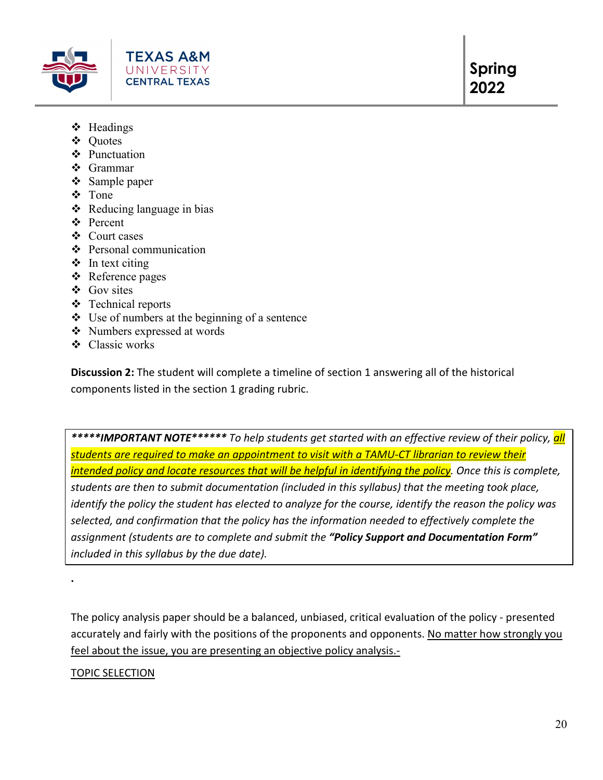

- $\div$  Headings
- Quotes
- ❖ Punctuation
- Grammar
- ❖ Sample paper
- Tone
- $\triangleleft$  Reducing language in bias
- Percent
- Court cases
- Personal communication
- $\triangleleft$  In text citing
- ❖ Reference pages
- Gov sites
- Technical reports
- $\triangleleft$  Use of numbers at the beginning of a sentence
- Numbers expressed at words
- Classic works

**Discussion 2:** The student will complete a timeline of section 1 answering all of the historical components listed in the section 1 grading rubric.

*\*\*\*\*\*IMPORTANT NOTE\*\*\*\*\*\* To help students get started with an effective review of their policy, all students are required to make an appointment to visit with a TAMU-CT librarian to review their intended policy and locate resources that will be helpful in identifying the policy. Once this is complete, students are then to submit documentation (included in this syllabus) that the meeting took place, identify the policy the student has elected to analyze for the course, identify the reason the policy was selected, and confirmation that the policy has the information needed to effectively complete the assignment (students are to complete and submit the "Policy Support and Documentation Form" included in this syllabus by the due date).* 

The policy analysis paper should be a balanced, unbiased, critical evaluation of the policy - presented accurately and fairly with the positions of the proponents and opponents. No matter how strongly you feel about the issue, you are presenting an objective policy analysis.-

# TOPIC SELECTION

**.**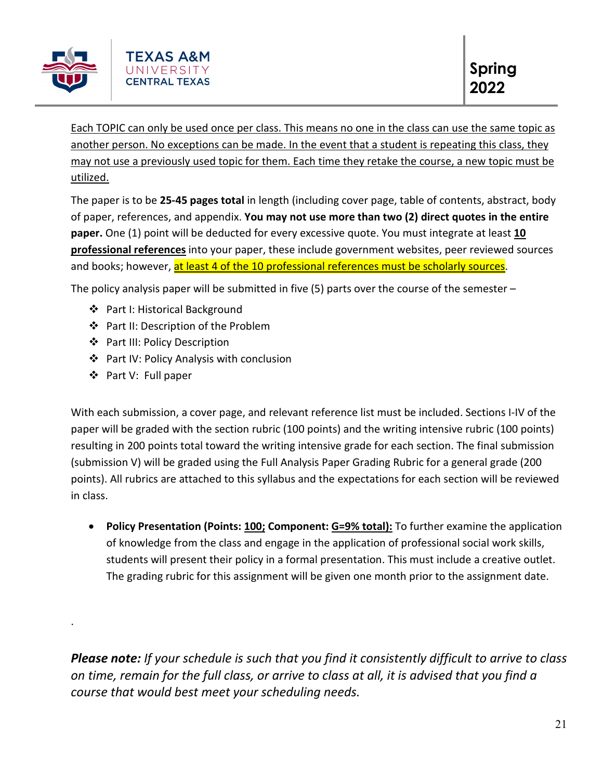

Each TOPIC can only be used once per class. This means no one in the class can use the same topic as another person. No exceptions can be made. In the event that a student is repeating this class, they may not use a previously used topic for them. Each time they retake the course, a new topic must be utilized.

The paper is to be **25-45 pages total** in length (including cover page, table of contents, abstract, body of paper, references, and appendix. **You may not use more than two (2) direct quotes in the entire paper.** One (1) point will be deducted for every excessive quote. You must integrate at least **10 professional references** into your paper, these include government websites, peer reviewed sources and books; however, at least 4 of the 10 professional references must be scholarly sources.

The policy analysis paper will be submitted in five  $(5)$  parts over the course of the semester  $-$ 

- Part I: Historical Background
- ❖ Part II: Description of the Problem
- ❖ Part III: Policy Description
- ❖ Part IV: Policy Analysis with conclusion
- ❖ Part V: Full paper

.

With each submission, a cover page, and relevant reference list must be included. Sections I-IV of the paper will be graded with the section rubric (100 points) and the writing intensive rubric (100 points) resulting in 200 points total toward the writing intensive grade for each section. The final submission (submission V) will be graded using the Full Analysis Paper Grading Rubric for a general grade (200 points). All rubrics are attached to this syllabus and the expectations for each section will be reviewed in class.

• **Policy Presentation (Points: 100; Component: G=9% total):** To further examine the application of knowledge from the class and engage in the application of professional social work skills, students will present their policy in a formal presentation. This must include a creative outlet. The grading rubric for this assignment will be given one month prior to the assignment date.

*Please note: If your schedule is such that you find it consistently difficult to arrive to class on time, remain for the full class, or arrive to class at all, it is advised that you find a course that would best meet your scheduling needs.*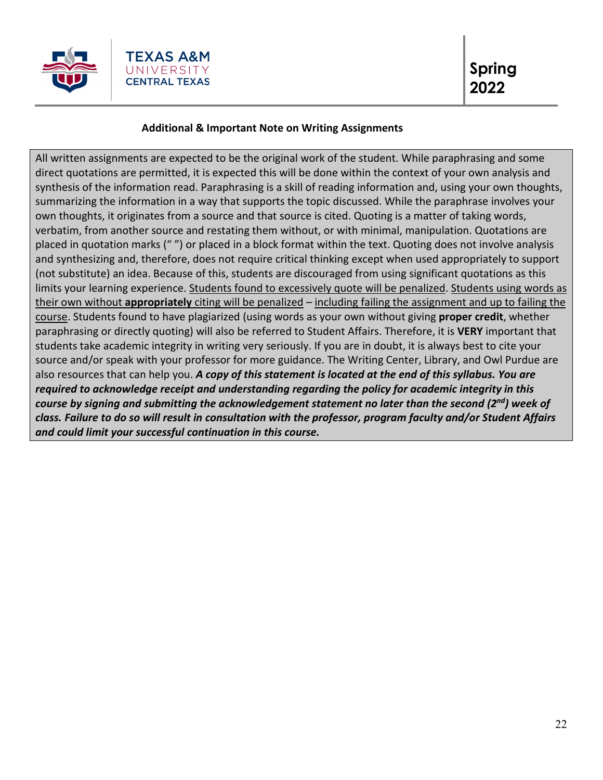

# **Additional & Important Note on Writing Assignments**

All written assignments are expected to be the original work of the student. While paraphrasing and some direct quotations are permitted, it is expected this will be done within the context of your own analysis and synthesis of the information read. Paraphrasing is a skill of reading information and, using your own thoughts, summarizing the information in a way that supports the topic discussed. While the paraphrase involves your own thoughts, it originates from a source and that source is cited. Quoting is a matter of taking words, verbatim, from another source and restating them without, or with minimal, manipulation. Quotations are placed in quotation marks (" ") or placed in a block format within the text. Quoting does not involve analysis and synthesizing and, therefore, does not require critical thinking except when used appropriately to support (not substitute) an idea. Because of this, students are discouraged from using significant quotations as this limits your learning experience. Students found to excessively quote will be penalized. Students using words as their own without **appropriately** citing will be penalized – including failing the assignment and up to failing the course. Students found to have plagiarized (using words as your own without giving **proper credit**, whether paraphrasing or directly quoting) will also be referred to Student Affairs. Therefore, it is **VERY** important that students take academic integrity in writing very seriously. If you are in doubt, it is always best to cite your source and/or speak with your professor for more guidance. The Writing Center, Library, and Owl Purdue are also resources that can help you. *A copy of this statement is located at the end of this syllabus. You are required to acknowledge receipt and understanding regarding the policy for academic integrity in this course by signing and submitting the acknowledgement statement no later than the second (2nd) week of class. Failure to do so will result in consultation with the professor, program faculty and/or Student Affairs and could limit your successful continuation in this course.*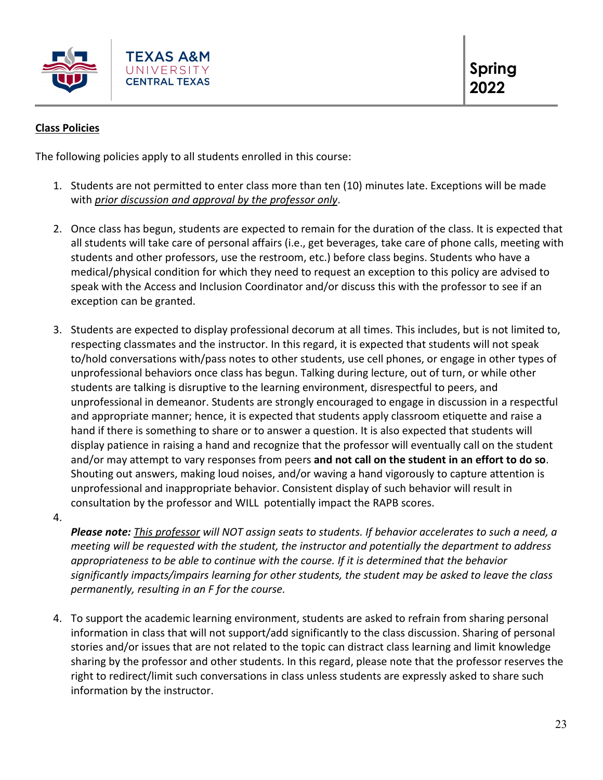

# **Class Policies**

The following policies apply to all students enrolled in this course:

- 1. Students are not permitted to enter class more than ten (10) minutes late. Exceptions will be made with *prior discussion and approval by the professor only*.
- 2. Once class has begun, students are expected to remain for the duration of the class. It is expected that all students will take care of personal affairs (i.e., get beverages, take care of phone calls, meeting with students and other professors, use the restroom, etc.) before class begins. Students who have a medical/physical condition for which they need to request an exception to this policy are advised to speak with the Access and Inclusion Coordinator and/or discuss this with the professor to see if an exception can be granted.
- 3. Students are expected to display professional decorum at all times. This includes, but is not limited to, respecting classmates and the instructor. In this regard, it is expected that students will not speak to/hold conversations with/pass notes to other students, use cell phones, or engage in other types of unprofessional behaviors once class has begun. Talking during lecture, out of turn, or while other students are talking is disruptive to the learning environment, disrespectful to peers, and unprofessional in demeanor. Students are strongly encouraged to engage in discussion in a respectful and appropriate manner; hence, it is expected that students apply classroom etiquette and raise a hand if there is something to share or to answer a question. It is also expected that students will display patience in raising a hand and recognize that the professor will eventually call on the student and/or may attempt to vary responses from peers **and not call on the student in an effort to do so**. Shouting out answers, making loud noises, and/or waving a hand vigorously to capture attention is unprofessional and inappropriate behavior. Consistent display of such behavior will result in consultation by the professor and WILL potentially impact the RAPB scores.
- 4.

*Please note: This professor will NOT assign seats to students. If behavior accelerates to such a need, a meeting will be requested with the student, the instructor and potentially the department to address appropriateness to be able to continue with the course. If it is determined that the behavior significantly impacts/impairs learning for other students, the student may be asked to leave the class permanently, resulting in an F for the course.* 

4. To support the academic learning environment, students are asked to refrain from sharing personal information in class that will not support/add significantly to the class discussion. Sharing of personal stories and/or issues that are not related to the topic can distract class learning and limit knowledge sharing by the professor and other students. In this regard, please note that the professor reserves the right to redirect/limit such conversations in class unless students are expressly asked to share such information by the instructor.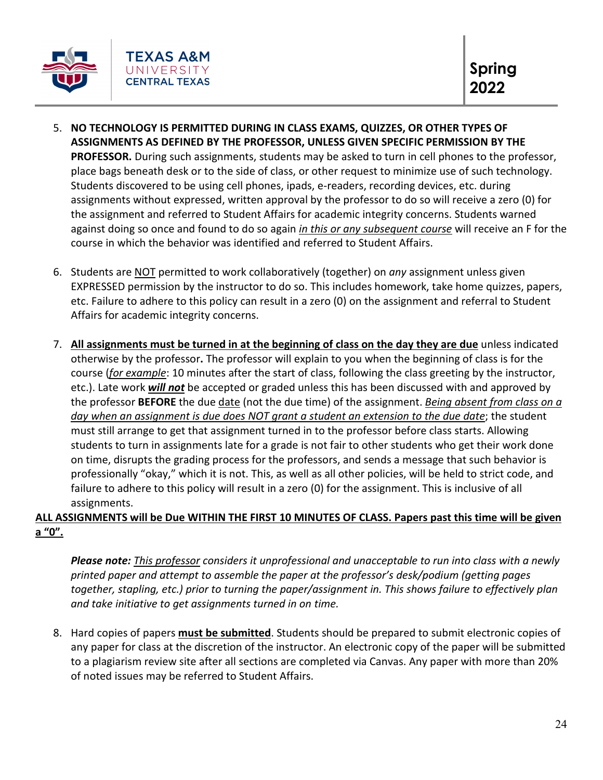

- 5. **NO TECHNOLOGY IS PERMITTED DURING IN CLASS EXAMS, QUIZZES, OR OTHER TYPES OF ASSIGNMENTS AS DEFINED BY THE PROFESSOR, UNLESS GIVEN SPECIFIC PERMISSION BY THE PROFESSOR.** During such assignments, students may be asked to turn in cell phones to the professor, place bags beneath desk or to the side of class, or other request to minimize use of such technology. Students discovered to be using cell phones, ipads, e-readers, recording devices, etc. during assignments without expressed, written approval by the professor to do so will receive a zero (0) for the assignment and referred to Student Affairs for academic integrity concerns. Students warned against doing so once and found to do so again *in this or any subsequent course* will receive an F for the course in which the behavior was identified and referred to Student Affairs.
- 6. Students are NOT permitted to work collaboratively (together) on *any* assignment unless given EXPRESSED permission by the instructor to do so. This includes homework, take home quizzes, papers, etc. Failure to adhere to this policy can result in a zero (0) on the assignment and referral to Student Affairs for academic integrity concerns.
- 7. **All assignments must be turned in at the beginning of class on the day they are due** unless indicated otherwise by the professor**.** The professor will explain to you when the beginning of class is for the course (*for example*: 10 minutes after the start of class, following the class greeting by the instructor, etc.). Late work *will not* be accepted or graded unless this has been discussed with and approved by the professor **BEFORE** the due date (not the due time) of the assignment. *Being absent from class on a day when an assignment is due does NOT grant a student an extension to the due date*; the student must still arrange to get that assignment turned in to the professor before class starts. Allowing students to turn in assignments late for a grade is not fair to other students who get their work done on time, disrupts the grading process for the professors, and sends a message that such behavior is professionally "okay," which it is not. This, as well as all other policies, will be held to strict code, and failure to adhere to this policy will result in a zero (0) for the assignment. This is inclusive of all assignments.

# **ALL ASSIGNMENTS will be Due WITHIN THE FIRST 10 MINUTES OF CLASS. Papers past this time will be given a "0".**

*Please note: This professor considers it unprofessional and unacceptable to run into class with a newly printed paper and attempt to assemble the paper at the professor's desk/podium (getting pages together, stapling, etc.) prior to turning the paper/assignment in. This shows failure to effectively plan and take initiative to get assignments turned in on time.* 

8. Hard copies of papers **must be submitted**. Students should be prepared to submit electronic copies of any paper for class at the discretion of the instructor. An electronic copy of the paper will be submitted to a plagiarism review site after all sections are completed via Canvas. Any paper with more than 20% of noted issues may be referred to Student Affairs.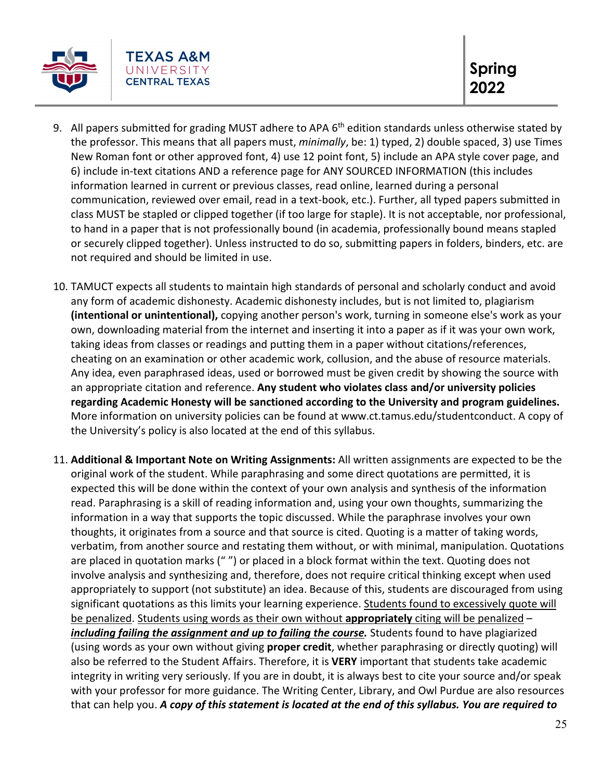

- 9. All papers submitted for grading MUST adhere to APA 6<sup>th</sup> edition standards unless otherwise stated by the professor. This means that all papers must, *minimally*, be: 1) typed, 2) double spaced, 3) use Times New Roman font or other approved font, 4) use 12 point font, 5) include an APA style cover page, and 6) include in-text citations AND a reference page for ANY SOURCED INFORMATION (this includes information learned in current or previous classes, read online, learned during a personal communication, reviewed over email, read in a text-book, etc.). Further, all typed papers submitted in class MUST be stapled or clipped together (if too large for staple). It is not acceptable, nor professional, to hand in a paper that is not professionally bound (in academia, professionally bound means stapled or securely clipped together). Unless instructed to do so, submitting papers in folders, binders, etc. are not required and should be limited in use.
- 10. TAMUCT expects all students to maintain high standards of personal and scholarly conduct and avoid any form of academic dishonesty. Academic dishonesty includes, but is not limited to, plagiarism **(intentional or unintentional),** copying another person's work, turning in someone else's work as your own, downloading material from the internet and inserting it into a paper as if it was your own work, taking ideas from classes or readings and putting them in a paper without citations/references, cheating on an examination or other academic work, collusion, and the abuse of resource materials. Any idea, even paraphrased ideas, used or borrowed must be given credit by showing the source with an appropriate citation and reference. **Any student who violates class and/or university policies regarding Academic Honesty will be sanctioned according to the University and program guidelines.**  More information on university policies can be found at www.ct.tamus.edu/studentconduct. A copy of the University's policy is also located at the end of this syllabus.
- 11. **Additional & Important Note on Writing Assignments:** All written assignments are expected to be the original work of the student. While paraphrasing and some direct quotations are permitted, it is expected this will be done within the context of your own analysis and synthesis of the information read. Paraphrasing is a skill of reading information and, using your own thoughts, summarizing the information in a way that supports the topic discussed. While the paraphrase involves your own thoughts, it originates from a source and that source is cited. Quoting is a matter of taking words, verbatim, from another source and restating them without, or with minimal, manipulation. Quotations are placed in quotation marks (" ") or placed in a block format within the text. Quoting does not involve analysis and synthesizing and, therefore, does not require critical thinking except when used appropriately to support (not substitute) an idea. Because of this, students are discouraged from using significant quotations as this limits your learning experience. Students found to excessively quote will be penalized. Students using words as their own without **appropriately** citing will be penalized – *including failing the assignment and up to failing the course.* Students found to have plagiarized (using words as your own without giving **proper credit**, whether paraphrasing or directly quoting) will also be referred to the Student Affairs. Therefore, it is **VERY** important that students take academic integrity in writing very seriously. If you are in doubt, it is always best to cite your source and/or speak with your professor for more guidance. The Writing Center, Library, and Owl Purdue are also resources that can help you. *A copy of this statement is located at the end of this syllabus. You are required to*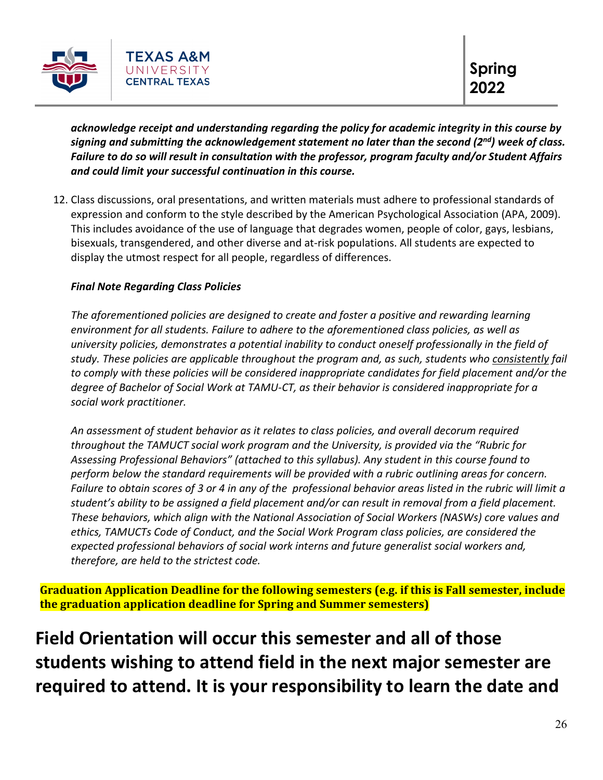

*acknowledge receipt and understanding regarding the policy for academic integrity in this course by signing and submitting the acknowledgement statement no later than the second (2nd) week of class. Failure to do so will result in consultation with the professor, program faculty and/or Student Affairs and could limit your successful continuation in this course.* 

12. Class discussions, oral presentations, and written materials must adhere to professional standards of expression and conform to the style described by the American Psychological Association (APA, 2009). This includes avoidance of the use of language that degrades women, people of color, gays, lesbians, bisexuals, transgendered, and other diverse and at-risk populations. All students are expected to display the utmost respect for all people, regardless of differences.

# *Final Note Regarding Class Policies*

*The aforementioned policies are designed to create and foster a positive and rewarding learning environment for all students. Failure to adhere to the aforementioned class policies, as well as university policies, demonstrates a potential inability to conduct oneself professionally in the field of study. These policies are applicable throughout the program and, as such, students who consistently fail to comply with these policies will be considered inappropriate candidates for field placement and/or the degree of Bachelor of Social Work at TAMU-CT, as their behavior is considered inappropriate for a social work practitioner.* 

*An assessment of student behavior as it relates to class policies, and overall decorum required throughout the TAMUCT social work program and the University, is provided via the "Rubric for Assessing Professional Behaviors" (attached to this syllabus). Any student in this course found to perform below the standard requirements will be provided with a rubric outlining areas for concern. Failure to obtain scores of 3 or 4 in any of the professional behavior areas listed in the rubric will limit a student's ability to be assigned a field placement and/or can result in removal from a field placement. These behaviors, which align with the National Association of Social Workers (NASWs) core values and ethics, TAMUCTs Code of Conduct, and the Social Work Program class policies, are considered the expected professional behaviors of social work interns and future generalist social workers and, therefore, are held to the strictest code.* 

**Graduation Application Deadline for the following semesters (e.g. if this is Fall semester, include the graduation application deadline for Spring and Summer semesters)**

**Field Orientation will occur this semester and all of those students wishing to attend field in the next major semester are required to attend. It is your responsibility to learn the date and**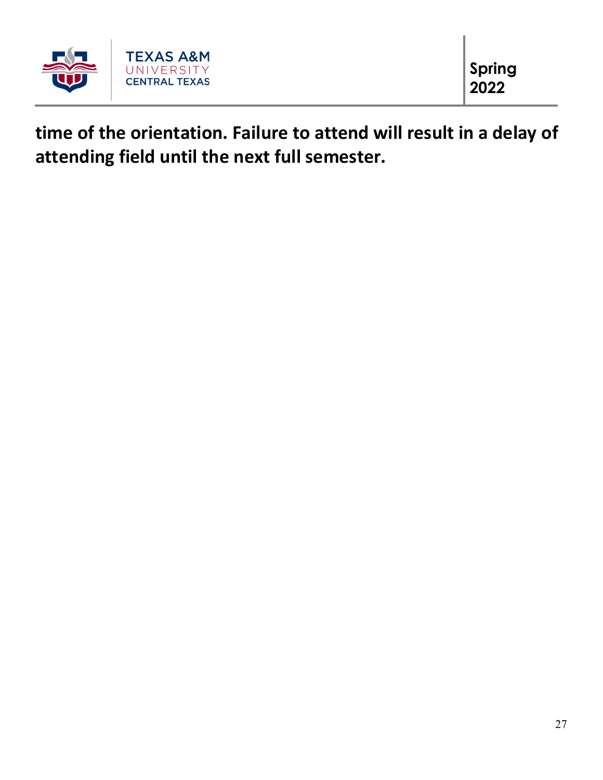

**time of the orientation. Failure to attend will result in a delay of attending field until the next full semester.**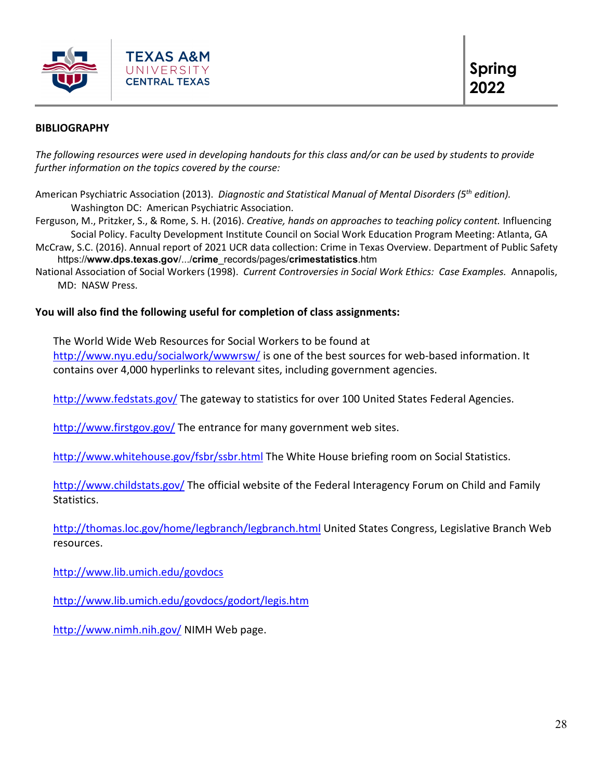

#### **BIBLIOGRAPHY**

*The following resources were used in developing handouts for this class and/or can be used by students to provide further information on the topics covered by the course:* 

American Psychiatric Association (2013). *Diagnostic and Statistical Manual of Mental Disorders (5th edition).*  Washington DC: American Psychiatric Association.

Ferguson, M., Pritzker, S., & Rome, S. H. (2016). *Creative, hands on approaches to teaching policy content.* Influencing Social Policy. Faculty Development Institute Council on Social Work Education Program Meeting: Atlanta, GA

McCraw, S.C. (2016). Annual report of 2021 UCR data collection: Crime in Texas Overview. Department of Public Safety https://**www.dps.texas.gov**/.../**crime**\_records/pages/**crimestatistics**.htm

National Association of Social Workers (1998). *Current Controversies in Social Work Ethics: Case Examples.* Annapolis, MD: NASW Press.

#### **You will also find the following useful for completion of class assignments:**

The World Wide Web Resources for Social Workers to be found at

<http://www.nyu.edu/socialwork/wwwrsw/> is one of the best sources for web-based information. It contains over 4,000 hyperlinks to relevant sites, including government agencies.

<http://www.fedstats.gov/> The gateway to statistics for over 100 United States Federal Agencies.

<http://www.firstgov.gov/> The entrance for many government web sites.

<http://www.whitehouse.gov/fsbr/ssbr.html> The White House briefing room on Social Statistics.

<http://www.childstats.gov/> The official website of the Federal Interagency Forum on Child and Family Statistics.

<http://thomas.loc.gov/home/legbranch/legbranch.html> United States Congress, Legislative Branch Web resources.

<http://www.lib.umich.edu/govdocs>

<http://www.lib.umich.edu/govdocs/godort/legis.htm>

<http://www.nimh.nih.gov/> NIMH Web page.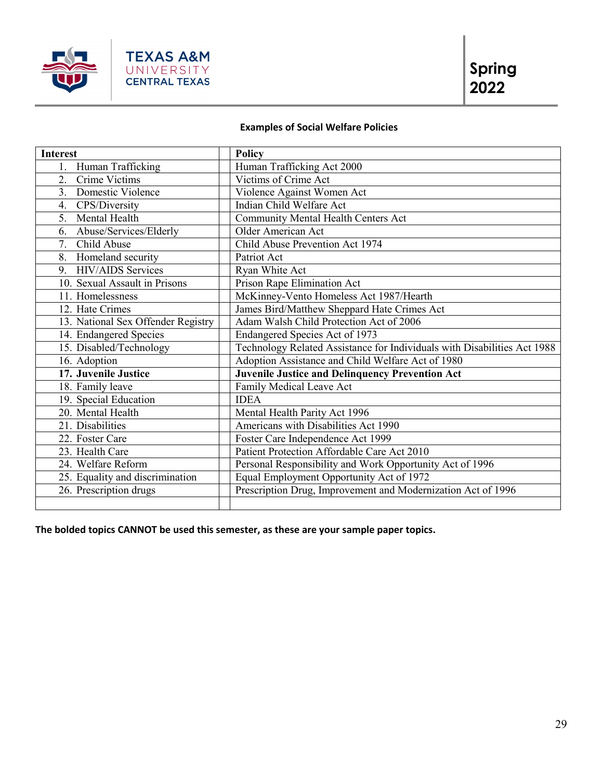

# **Examples of Social Welfare Policies**

| <b>Interest</b>                    | <b>Policy</b>                                                            |
|------------------------------------|--------------------------------------------------------------------------|
| Human Trafficking<br>1.            | Human Trafficking Act 2000                                               |
| Crime Victims<br>2.                | Victims of Crime Act                                                     |
| 3. Domestic Violence               | Violence Against Women Act                                               |
| CPS/Diversity<br>4.                | Indian Child Welfare Act                                                 |
| Mental Health<br>5.                | Community Mental Health Centers Act                                      |
| 6. Abuse/Services/Elderly          | Older American Act                                                       |
| 7. Child Abuse                     | Child Abuse Prevention Act 1974                                          |
| 8. Homeland security               | Patriot Act                                                              |
| 9. HIV/AIDS Services               | Ryan White Act                                                           |
| 10. Sexual Assault in Prisons      | Prison Rape Elimination Act                                              |
| 11. Homelessness                   | McKinney-Vento Homeless Act 1987/Hearth                                  |
| 12. Hate Crimes                    | James Bird/Matthew Sheppard Hate Crimes Act                              |
| 13. National Sex Offender Registry | Adam Walsh Child Protection Act of 2006                                  |
| 14. Endangered Species             | Endangered Species Act of 1973                                           |
| 15. Disabled/Technology            | Technology Related Assistance for Individuals with Disabilities Act 1988 |
| 16. Adoption                       | Adoption Assistance and Child Welfare Act of 1980                        |
| 17. Juvenile Justice               | <b>Juvenile Justice and Delinquency Prevention Act</b>                   |
| 18. Family leave                   | Family Medical Leave Act                                                 |
| 19. Special Education              | <b>IDEA</b>                                                              |
| 20. Mental Health                  | Mental Health Parity Act 1996                                            |
| 21. Disabilities                   | Americans with Disabilities Act 1990                                     |
| 22. Foster Care                    | Foster Care Independence Act 1999                                        |
| 23. Health Care                    | Patient Protection Affordable Care Act 2010                              |
| 24. Welfare Reform                 | Personal Responsibility and Work Opportunity Act of 1996                 |
| 25. Equality and discrimination    | Equal Employment Opportunity Act of 1972                                 |
| 26. Prescription drugs             | Prescription Drug, Improvement and Modernization Act of 1996             |
|                                    |                                                                          |

**The bolded topics CANNOT be used this semester, as these are your sample paper topics.**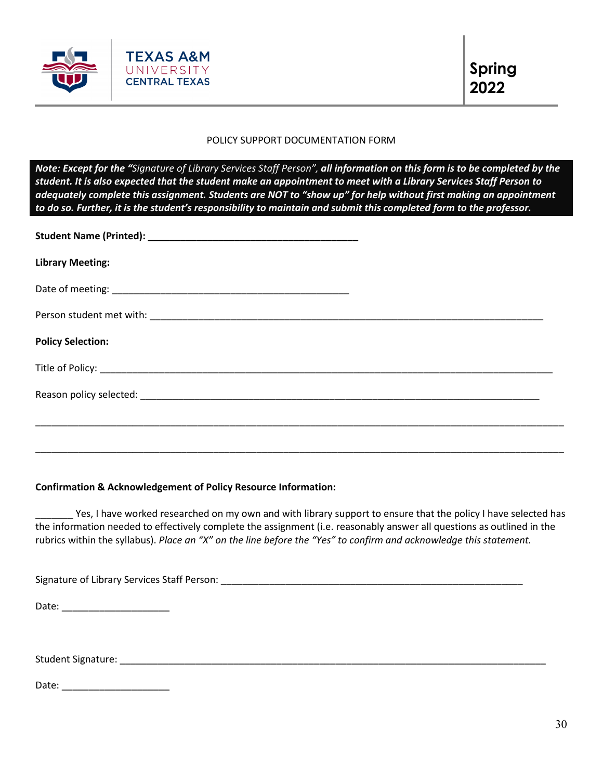

#### POLICY SUPPORT DOCUMENTATION FORM

*Note: Except for the "Signature of Library Services Staff Person", all information on this form is to be completed by the student. It is also expected that the student make an appointment to meet with a Library Services Staff Person to adequately complete this assignment. Students are NOT to "show up" for help without first making an appointment to do so. Further, it is the student's responsibility to maintain and submit this completed form to the professor.* 

| <b>Library Meeting:</b>  |  |
|--------------------------|--|
|                          |  |
|                          |  |
| <b>Policy Selection:</b> |  |
|                          |  |
|                          |  |
|                          |  |

#### **Confirmation & Acknowledgement of Policy Resource Information:**

Yes, I have worked researched on my own and with library support to ensure that the policy I have selected has the information needed to effectively complete the assignment (i.e. reasonably answer all questions as outlined in the rubrics within the syllabus). *Place an "X" on the line before the "Yes" to confirm and acknowledge this statement.* 

\_\_\_\_\_\_\_\_\_\_\_\_\_\_\_\_\_\_\_\_\_\_\_\_\_\_\_\_\_\_\_\_\_\_\_\_\_\_\_\_\_\_\_\_\_\_\_\_\_\_\_\_\_\_\_\_\_\_\_\_\_\_\_\_\_\_\_\_\_\_\_\_\_\_\_\_\_\_\_\_\_\_\_\_\_\_\_\_\_\_\_\_\_\_\_\_\_\_

Signature of Library Services Staff Person: \_\_\_\_\_\_\_\_\_\_\_\_\_\_\_\_\_\_\_\_\_\_\_\_\_\_\_\_\_\_\_\_\_\_\_\_\_\_\_\_\_\_\_\_\_\_\_\_\_\_\_\_\_\_\_\_ Date: \_\_\_\_\_\_\_\_\_\_\_\_\_\_\_\_\_\_\_\_

Student Signature: \_\_\_\_\_\_\_\_\_\_\_\_\_\_\_\_\_\_\_\_\_\_\_\_\_\_\_\_\_\_\_\_\_\_\_\_\_\_\_\_\_\_\_\_\_\_\_\_\_\_\_\_\_\_\_\_\_\_\_\_\_\_\_\_\_\_\_\_\_\_\_\_\_\_\_\_\_\_\_

Date: \_\_\_\_\_\_\_\_\_\_\_\_\_\_\_\_\_\_\_\_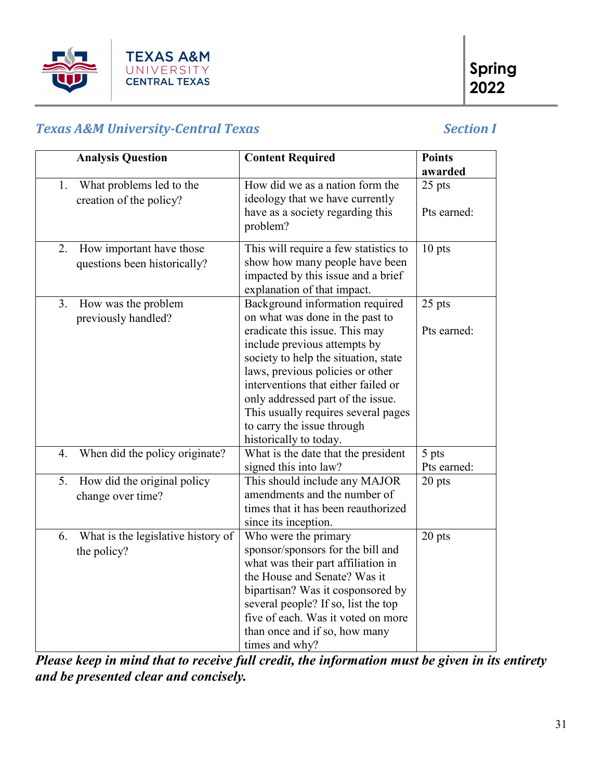

# *Texas A&M University-Central Texas Section I*

| <b>Analysis Question</b>                                  | <b>Content Required</b>                                                                             | <b>Points</b><br>awarded |
|-----------------------------------------------------------|-----------------------------------------------------------------------------------------------------|--------------------------|
| What problems led to the<br>1.<br>creation of the policy? | How did we as a nation form the<br>ideology that we have currently                                  | 25 pts                   |
|                                                           | have as a society regarding this<br>problem?                                                        | Pts earned:              |
| How important have those<br>2.                            | This will require a few statistics to                                                               | 10 pts                   |
| questions been historically?                              | show how many people have been<br>impacted by this issue and a brief<br>explanation of that impact. |                          |
| 3.<br>How was the problem                                 | Background information required                                                                     | 25 pts                   |
| previously handled?                                       | on what was done in the past to                                                                     |                          |
|                                                           | eradicate this issue. This may                                                                      | Pts earned:              |
|                                                           | include previous attempts by<br>society to help the situation, state                                |                          |
|                                                           | laws, previous policies or other                                                                    |                          |
|                                                           | interventions that either failed or                                                                 |                          |
|                                                           | only addressed part of the issue.                                                                   |                          |
|                                                           | This usually requires several pages                                                                 |                          |
|                                                           | to carry the issue through                                                                          |                          |
|                                                           | historically to today.                                                                              |                          |
| When did the policy originate?<br>4.                      | What is the date that the president                                                                 | 5 pts                    |
|                                                           | signed this into law?                                                                               | Pts earned:              |
| How did the original policy<br>5.                         | This should include any MAJOR                                                                       | 20 pts                   |
| change over time?                                         | amendments and the number of<br>times that it has been reauthorized                                 |                          |
|                                                           | since its inception.                                                                                |                          |
| What is the legislative history of<br>6.                  | Who were the primary                                                                                | 20 pts                   |
| the policy?                                               | sponsor/sponsors for the bill and                                                                   |                          |
|                                                           | what was their part affiliation in                                                                  |                          |
|                                                           | the House and Senate? Was it                                                                        |                          |
|                                                           | bipartisan? Was it cosponsored by                                                                   |                          |
|                                                           | several people? If so, list the top                                                                 |                          |
|                                                           | five of each. Was it voted on more                                                                  |                          |
|                                                           | than once and if so, how many                                                                       |                          |
|                                                           | times and why?                                                                                      |                          |

*Please keep in mind that to receive full credit, the information must be given in its entirety and be presented clear and concisely.*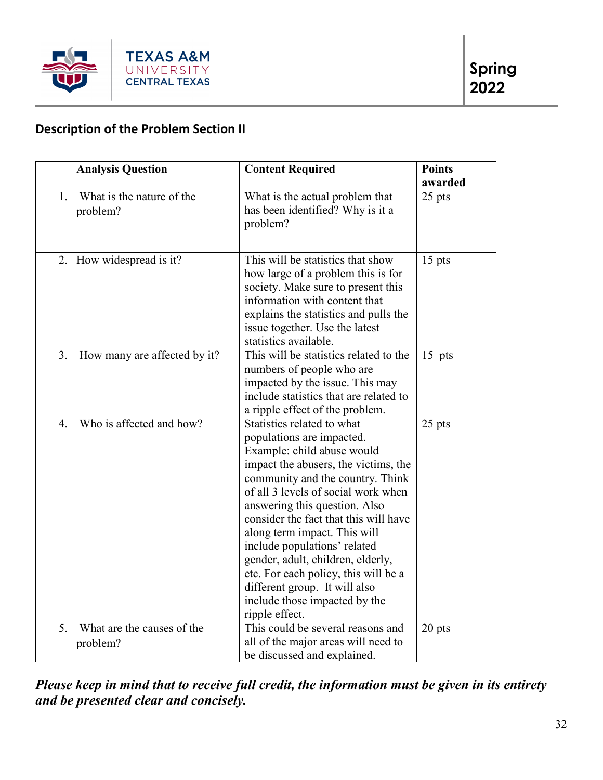

# **Description of the Problem Section II**

| <b>Analysis Question</b>                     | <b>Content Required</b>                                                                                                                                                                                                                                                                                                                                                                                                                                                                                             | <b>Points</b> |
|----------------------------------------------|---------------------------------------------------------------------------------------------------------------------------------------------------------------------------------------------------------------------------------------------------------------------------------------------------------------------------------------------------------------------------------------------------------------------------------------------------------------------------------------------------------------------|---------------|
|                                              |                                                                                                                                                                                                                                                                                                                                                                                                                                                                                                                     | awarded       |
| What is the nature of the<br>1.<br>problem?  | What is the actual problem that<br>has been identified? Why is it a<br>problem?                                                                                                                                                                                                                                                                                                                                                                                                                                     | 25 pts        |
| 2. How widespread is it?                     | This will be statistics that show<br>how large of a problem this is for<br>society. Make sure to present this<br>information with content that<br>explains the statistics and pulls the<br>issue together. Use the latest<br>statistics available.                                                                                                                                                                                                                                                                  | $15$ pts      |
| 3.<br>How many are affected by it?           | This will be statistics related to the<br>numbers of people who are<br>impacted by the issue. This may<br>include statistics that are related to<br>a ripple effect of the problem.                                                                                                                                                                                                                                                                                                                                 | $15$ pts      |
| Who is affected and how?<br>$\overline{4}$ . | Statistics related to what<br>populations are impacted.<br>Example: child abuse would<br>impact the abusers, the victims, the<br>community and the country. Think<br>of all 3 levels of social work when<br>answering this question. Also<br>consider the fact that this will have<br>along term impact. This will<br>include populations' related<br>gender, adult, children, elderly,<br>etc. For each policy, this will be a<br>different group. It will also<br>include those impacted by the<br>ripple effect. | 25 pts        |
| 5.<br>What are the causes of the<br>problem? | This could be several reasons and<br>all of the major areas will need to<br>be discussed and explained.                                                                                                                                                                                                                                                                                                                                                                                                             | 20 pts        |

*Please keep in mind that to receive full credit, the information must be given in its entirety and be presented clear and concisely.*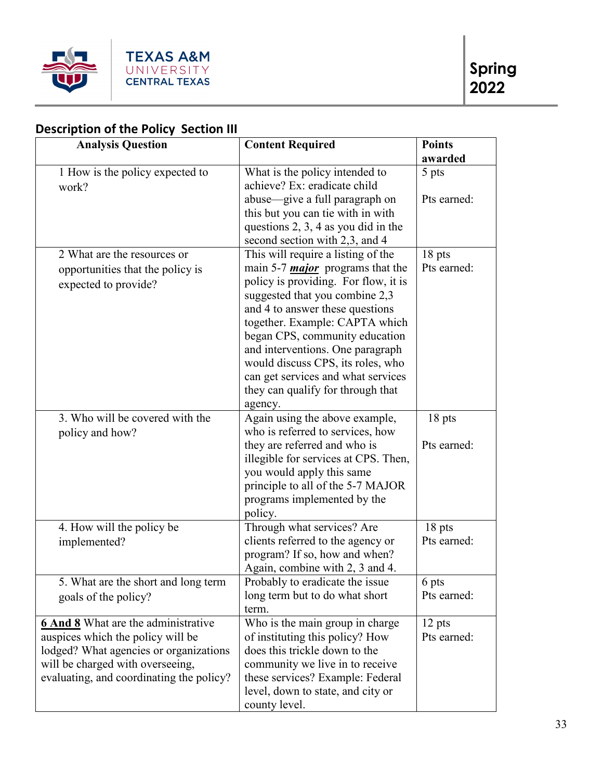

# **Description of the Policy Section III**

| <b>Analysis Question</b>                   | <b>Content Required</b>                 | <b>Points</b> |
|--------------------------------------------|-----------------------------------------|---------------|
|                                            |                                         | awarded       |
| 1 How is the policy expected to            | What is the policy intended to          | 5 pts         |
| work?                                      | achieve? Ex: eradicate child            |               |
|                                            | abuse-give a full paragraph on          | Pts earned:   |
|                                            | this but you can tie with in with       |               |
|                                            | questions 2, 3, 4 as you did in the     |               |
|                                            | second section with 2,3, and 4          |               |
| 2 What are the resources or                | This will require a listing of the      | 18 pts        |
| opportunities that the policy is           | main 5-7 <i>major</i> programs that the | Pts earned:   |
| expected to provide?                       | policy is providing. For flow, it is    |               |
|                                            | suggested that you combine 2,3          |               |
|                                            | and 4 to answer these questions         |               |
|                                            | together. Example: CAPTA which          |               |
|                                            | began CPS, community education          |               |
|                                            | and interventions. One paragraph        |               |
|                                            | would discuss CPS, its roles, who       |               |
|                                            | can get services and what services      |               |
|                                            | they can qualify for through that       |               |
|                                            | agency.                                 |               |
| 3. Who will be covered with the            | Again using the above example,          | 18 pts        |
| policy and how?                            | who is referred to services, how        |               |
|                                            | they are referred and who is            | Pts earned:   |
|                                            | illegible for services at CPS. Then,    |               |
|                                            | you would apply this same               |               |
|                                            | principle to all of the 5-7 MAJOR       |               |
|                                            | programs implemented by the             |               |
|                                            | policy.                                 |               |
| 4. How will the policy be                  | Through what services? Are              | 18 pts        |
| implemented?                               | clients referred to the agency or       | Pts earned:   |
|                                            | program? If so, how and when?           |               |
|                                            | Again, combine with 2, 3 and 4.         |               |
| 5. What are the short and long term        | Probably to eradicate the issue         | 6 pts         |
| goals of the policy?                       | long term but to do what short          | Pts earned:   |
|                                            | term.                                   |               |
| <b>6 And 8</b> What are the administrative | Who is the main group in charge         | 12 pts        |
| auspices which the policy will be          | of instituting this policy? How         | Pts earned:   |
| lodged? What agencies or organizations     | does this trickle down to the           |               |
| will be charged with overseeing,           | community we live in to receive         |               |
| evaluating, and coordinating the policy?   | these services? Example: Federal        |               |
|                                            | level, down to state, and city or       |               |
|                                            | county level.                           |               |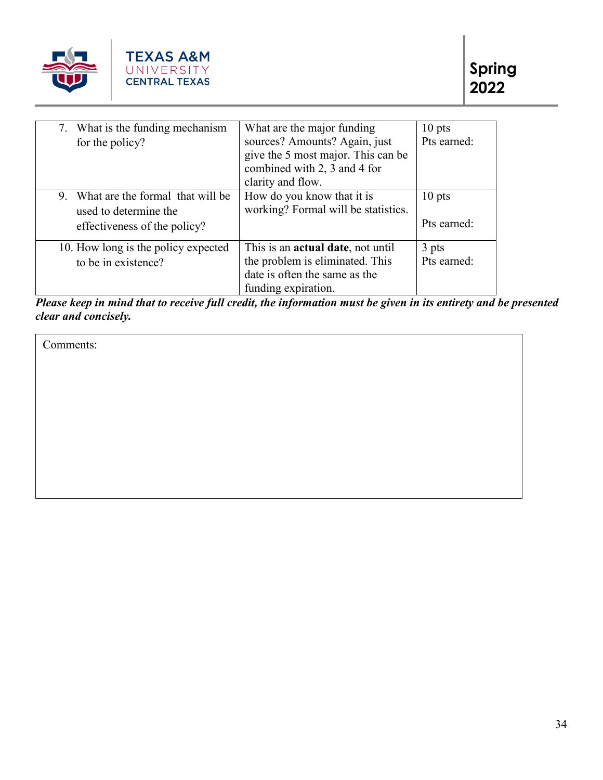

| 7. What is the funding mechanism    | What are the major funding                | $10$ pts    |
|-------------------------------------|-------------------------------------------|-------------|
| for the policy?                     | sources? Amounts? Again, just             | Pts earned: |
|                                     | give the 5 most major. This can be        |             |
|                                     | combined with 2, 3 and 4 for              |             |
|                                     | clarity and flow.                         |             |
| 9. What are the formal that will be | How do you know that it is                | $10$ pts    |
| used to determine the               | working? Formal will be statistics.       |             |
| effectiveness of the policy?        |                                           | Pts earned: |
| 10. How long is the policy expected | This is an <b>actual date</b> , not until | 3 pts       |
| to be in existence?                 | the problem is eliminated. This           | Pts earned: |
|                                     | date is often the same as the             |             |
|                                     | funding expiration.                       |             |

*Please keep in mind that to receive full credit, the information must be given in its entirety and be presented clear and concisely.*

Comments: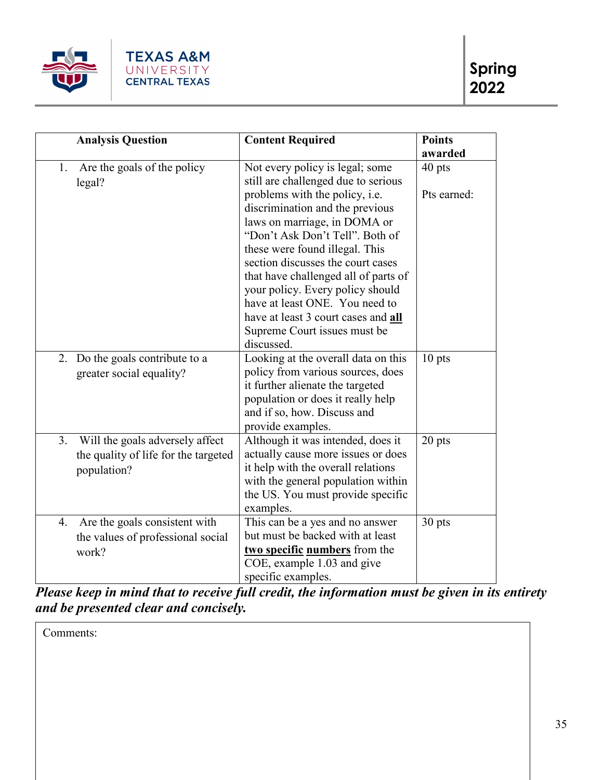

| <b>Analysis Question</b>                                                                     | <b>Content Required</b>                                                                                                                                                                                                                                                                                                                                                                                        | <b>Points</b><br>awarded |
|----------------------------------------------------------------------------------------------|----------------------------------------------------------------------------------------------------------------------------------------------------------------------------------------------------------------------------------------------------------------------------------------------------------------------------------------------------------------------------------------------------------------|--------------------------|
| Are the goals of the policy<br>1.<br>legal?                                                  | Not every policy is legal; some<br>still are challenged due to serious                                                                                                                                                                                                                                                                                                                                         | 40 pts                   |
|                                                                                              | problems with the policy, i.e.<br>discrimination and the previous<br>laws on marriage, in DOMA or<br>"Don't Ask Don't Tell". Both of<br>these were found illegal. This<br>section discusses the court cases<br>that have challenged all of parts of<br>your policy. Every policy should<br>have at least ONE. You need to<br>have at least 3 court cases and all<br>Supreme Court issues must be<br>discussed. | Pts earned:              |
| Do the goals contribute to a<br>2.<br>greater social equality?                               | Looking at the overall data on this<br>policy from various sources, does<br>it further alienate the targeted<br>population or does it really help<br>and if so, how. Discuss and<br>provide examples.                                                                                                                                                                                                          | $10$ pts                 |
| 3.<br>Will the goals adversely affect<br>the quality of life for the targeted<br>population? | Although it was intended, does it<br>actually cause more issues or does<br>it help with the overall relations<br>with the general population within<br>the US. You must provide specific<br>examples.                                                                                                                                                                                                          | 20 pts                   |
| Are the goals consistent with<br>4.<br>the values of professional social<br>work?            | This can be a yes and no answer<br>but must be backed with at least<br>two specific numbers from the<br>COE, example 1.03 and give<br>specific examples.                                                                                                                                                                                                                                                       | 30 pts                   |

*Please keep in mind that to receive full credit, the information must be given in its entirety and be presented clear and concisely.*

Comments: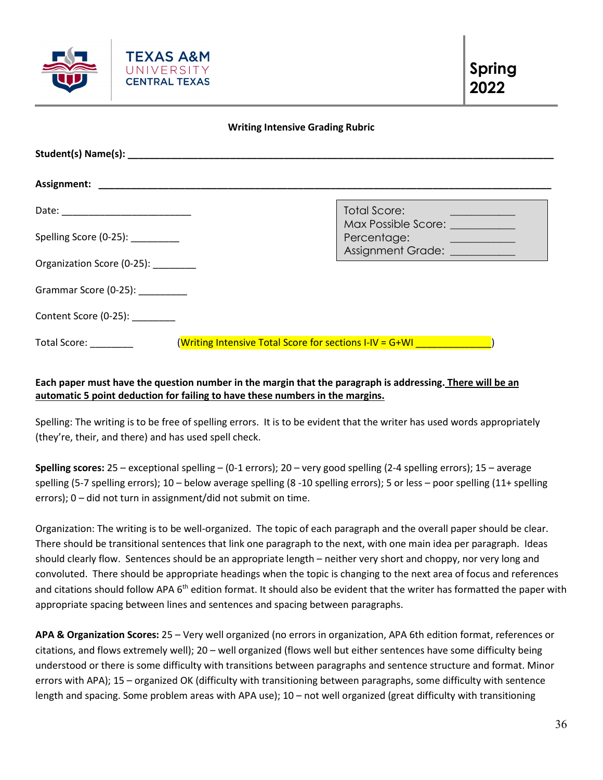

#### **Writing Intensive Grading Rubric**

|                                               |                                                         | <b>Total Score:</b><br>Max Possible Score: __________   |
|-----------------------------------------------|---------------------------------------------------------|---------------------------------------------------------|
| Spelling Score (0-25): ________               |                                                         | Percentage:<br><u> 1980 - Jan Alexandria (h. 1980).</u> |
| Organization Score (0-25):                    |                                                         | Assignment Grade: ___________                           |
| Grammar Score (0-25): _________               |                                                         |                                                         |
| Content Score (0-25):                         |                                                         |                                                         |
| Total Score: National Contract of Total Score | (Writing Intensive Total Score for sections I-IV = G+WI |                                                         |

# **Each paper must have the question number in the margin that the paragraph is addressing. There will be an automatic 5 point deduction for failing to have these numbers in the margins.**

Spelling: The writing is to be free of spelling errors. It is to be evident that the writer has used words appropriately (they're, their, and there) and has used spell check.

**Spelling scores:** 25 – exceptional spelling – (0-1 errors); 20 – very good spelling (2-4 spelling errors); 15 – average spelling (5-7 spelling errors); 10 – below average spelling (8 -10 spelling errors); 5 or less – poor spelling (11+ spelling errors); 0 – did not turn in assignment/did not submit on time.

Organization: The writing is to be well-organized. The topic of each paragraph and the overall paper should be clear. There should be transitional sentences that link one paragraph to the next, with one main idea per paragraph. Ideas should clearly flow. Sentences should be an appropriate length – neither very short and choppy, nor very long and convoluted. There should be appropriate headings when the topic is changing to the next area of focus and references and citations should follow APA 6<sup>th</sup> edition format. It should also be evident that the writer has formatted the paper with appropriate spacing between lines and sentences and spacing between paragraphs.

**APA & Organization Scores:** 25 – Very well organized (no errors in organization, APA 6th edition format, references or citations, and flows extremely well); 20 – well organized (flows well but either sentences have some difficulty being understood or there is some difficulty with transitions between paragraphs and sentence structure and format. Minor errors with APA); 15 – organized OK (difficulty with transitioning between paragraphs, some difficulty with sentence length and spacing. Some problem areas with APA use); 10 – not well organized (great difficulty with transitioning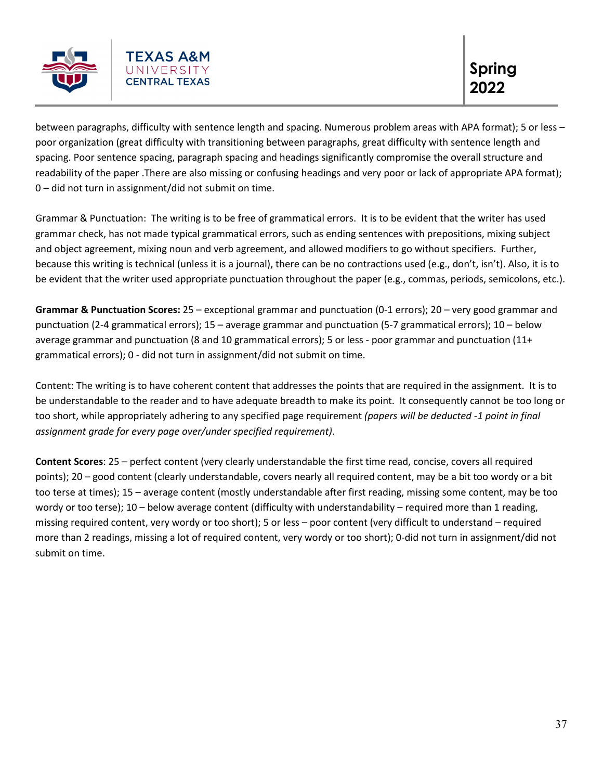

between paragraphs, difficulty with sentence length and spacing. Numerous problem areas with APA format); 5 or less – poor organization (great difficulty with transitioning between paragraphs, great difficulty with sentence length and spacing. Poor sentence spacing, paragraph spacing and headings significantly compromise the overall structure and readability of the paper .There are also missing or confusing headings and very poor or lack of appropriate APA format); 0 – did not turn in assignment/did not submit on time.

Grammar & Punctuation: The writing is to be free of grammatical errors. It is to be evident that the writer has used grammar check, has not made typical grammatical errors, such as ending sentences with prepositions, mixing subject and object agreement, mixing noun and verb agreement, and allowed modifiers to go without specifiers. Further, because this writing is technical (unless it is a journal), there can be no contractions used (e.g., don't, isn't). Also, it is to be evident that the writer used appropriate punctuation throughout the paper (e.g., commas, periods, semicolons, etc.).

**Grammar & Punctuation Scores:** 25 – exceptional grammar and punctuation (0-1 errors); 20 – very good grammar and punctuation (2-4 grammatical errors); 15 – average grammar and punctuation (5-7 grammatical errors); 10 – below average grammar and punctuation (8 and 10 grammatical errors); 5 or less - poor grammar and punctuation (11+ grammatical errors); 0 - did not turn in assignment/did not submit on time.

Content: The writing is to have coherent content that addresses the points that are required in the assignment. It is to be understandable to the reader and to have adequate breadth to make its point. It consequently cannot be too long or too short, while appropriately adhering to any specified page requirement *(papers will be deducted -1 point in final assignment grade for every page over/under specified requirement)*.

**Content Scores**: 25 – perfect content (very clearly understandable the first time read, concise, covers all required points); 20 – good content (clearly understandable, covers nearly all required content, may be a bit too wordy or a bit too terse at times); 15 – average content (mostly understandable after first reading, missing some content, may be too wordy or too terse); 10 – below average content (difficulty with understandability – required more than 1 reading, missing required content, very wordy or too short); 5 or less – poor content (very difficult to understand – required more than 2 readings, missing a lot of required content, very wordy or too short); 0-did not turn in assignment/did not submit on time.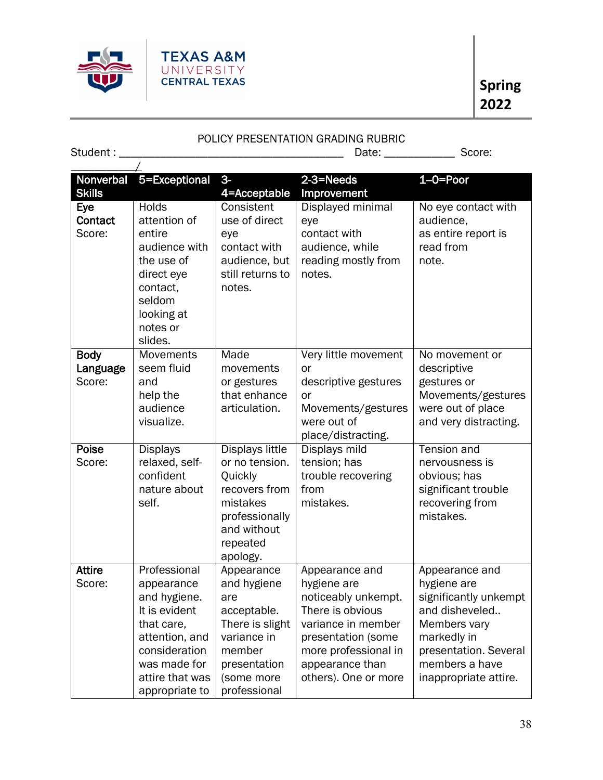

# POLICY PRESENTATION GRADING RUBRIC

 $Student: ___________1 \qquad \qquad \overbrace{\qquad \qquad \qquad }^{Student} \qquad \qquad \overbrace{\qquad \qquad }^{H}$ 

| Nonverbal<br><b>Skills</b>        | 5=Exceptional                                                                                                                                                     | $3-$<br>4=Acceptable                                                                                                                      | $2-3=Needs$<br>Improvement                                                                                                                                                              | $1-0=$ Poor                                                                                                                                                                 |
|-----------------------------------|-------------------------------------------------------------------------------------------------------------------------------------------------------------------|-------------------------------------------------------------------------------------------------------------------------------------------|-----------------------------------------------------------------------------------------------------------------------------------------------------------------------------------------|-----------------------------------------------------------------------------------------------------------------------------------------------------------------------------|
| Eye<br>Contact<br>Score:          | <b>Holds</b><br>attention of<br>entire<br>audience with<br>the use of<br>direct eye<br>contact,<br>seldom<br>looking at<br>notes or<br>slides.                    | Consistent<br>use of direct<br>eye<br>contact with<br>audience, but<br>still returns to<br>notes.                                         | Displayed minimal<br>eye<br>contact with<br>audience, while<br>reading mostly from<br>notes.                                                                                            | No eye contact with<br>audience,<br>as entire report is<br>read from<br>note.                                                                                               |
| <b>Body</b><br>Language<br>Score: | Movements<br>seem fluid<br>and<br>help the<br>audience<br>visualize.                                                                                              | Made<br>movements<br>or gestures<br>that enhance<br>articulation.                                                                         | Very little movement<br>or<br>descriptive gestures<br>or<br>Movements/gestures<br>were out of<br>place/distracting.                                                                     | No movement or<br>descriptive<br>gestures or<br>Movements/gestures<br>were out of place<br>and very distracting.                                                            |
| Poise<br>Score:                   | <b>Displays</b><br>relaxed, self-<br>confident<br>nature about<br>self.                                                                                           | <b>Displays little</b><br>or no tension.<br>Quickly<br>recovers from<br>mistakes<br>professionally<br>and without<br>repeated<br>apology. | Displays mild<br>tension; has<br>trouble recovering<br>from<br>mistakes.                                                                                                                | <b>Tension and</b><br>nervousness is<br>obvious; has<br>significant trouble<br>recovering from<br>mistakes.                                                                 |
| <b>Attire</b><br>Score:           | Professional<br>appearance<br>and hygiene.<br>It is evident<br>that care,<br>attention, and<br>consideration<br>was made for<br>attire that was<br>appropriate to | Appearance<br>and hygiene<br>are<br>acceptable.<br>There is slight<br>variance in<br>member<br>presentation<br>(some more<br>professional | Appearance and<br>hygiene are<br>noticeably unkempt.<br>There is obvious<br>variance in member<br>presentation (some<br>more professional in<br>appearance than<br>others). One or more | Appearance and<br>hygiene are<br>significantly unkempt<br>and disheveled<br>Members vary<br>markedly in<br>presentation. Several<br>members a have<br>inappropriate attire. |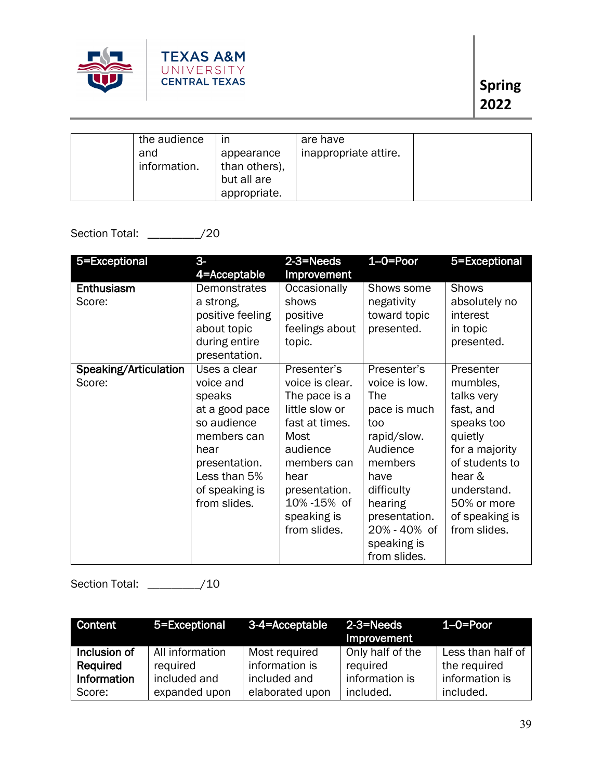

| the audience<br>and<br>information. | ın<br>appearance<br>than others),<br>but all are | are have<br>inappropriate attire. |  |
|-------------------------------------|--------------------------------------------------|-----------------------------------|--|
|                                     | appropriate.                                     |                                   |  |

# Section Total: \_\_\_\_\_\_\_\_\_/20

| 5=Exceptional                   | $3-$<br>4=Acceptable                                                                                                                                           | 2-3=Needs<br>Improvement                                                                                                                                                                     | $1 - \overline{O} = \overline{P}$ or                                                                                                                                                              | 5=Exceptional                                                                                                                                                                           |
|---------------------------------|----------------------------------------------------------------------------------------------------------------------------------------------------------------|----------------------------------------------------------------------------------------------------------------------------------------------------------------------------------------------|---------------------------------------------------------------------------------------------------------------------------------------------------------------------------------------------------|-----------------------------------------------------------------------------------------------------------------------------------------------------------------------------------------|
| Enthusiasm<br>Score:            | Demonstrates<br>a strong,<br>positive feeling<br>about topic<br>during entire<br>presentation.                                                                 | Occasionally<br>shows<br>positive<br>feelings about<br>topic.                                                                                                                                | Shows some<br>negativity<br>toward topic<br>presented.                                                                                                                                            | <b>Shows</b><br>absolutely no<br>interest<br>in topic<br>presented.                                                                                                                     |
| Speaking/Articulation<br>Score: | Uses a clear<br>voice and<br>speaks<br>at a good pace<br>so audience<br>members can<br>hear<br>presentation.<br>Less than 5%<br>of speaking is<br>from slides. | Presenter's<br>voice is clear.<br>The pace is a<br>little slow or<br>fast at times.<br>Most<br>audience<br>members can<br>hear<br>presentation.<br>10%-15% of<br>speaking is<br>from slides. | Presenter's<br>voice is low.<br>The<br>pace is much<br>too<br>rapid/slow.<br>Audience<br>members<br>have<br>difficulty<br>hearing<br>presentation.<br>20% - 40% of<br>speaking is<br>from slides. | Presenter<br>mumbles,<br>talks very<br>fast, and<br>speaks too<br>quietly<br>for a majority<br>of students to<br>hear &<br>understand.<br>50% or more<br>of speaking is<br>from slides. |

# Section Total: \_\_\_\_\_\_\_\_\_/10

| Content      | 5=Exceptional 3-4=Acceptable |                 | $2-3=Needs$<br>Improvement | 1–0=Poor          |
|--------------|------------------------------|-----------------|----------------------------|-------------------|
| Inclusion of | All information              | Most required   | Only half of the           | Less than half of |
| Required     | required                     | information is  | required                   | the required      |
| Information  | included and                 | included and    | information is             | information is    |
| Score:       | expanded upon                | elaborated upon | included.                  | included.         |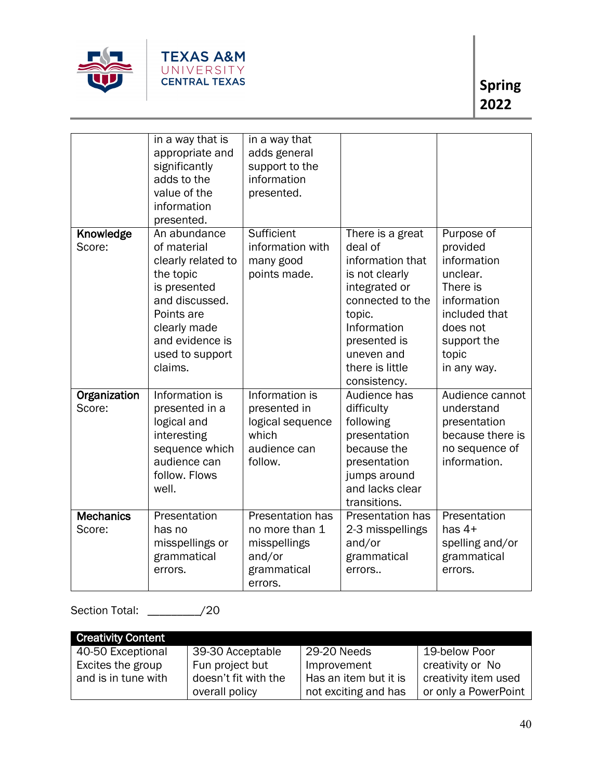

|                  | in a way that is   | in a way that           |                  |                  |
|------------------|--------------------|-------------------------|------------------|------------------|
|                  | appropriate and    | adds general            |                  |                  |
|                  | significantly      | support to the          |                  |                  |
|                  | adds to the        | information             |                  |                  |
|                  | value of the       | presented.              |                  |                  |
|                  | information        |                         |                  |                  |
|                  | presented.         |                         |                  |                  |
| Knowledge        | An abundance       | Sufficient              | There is a great | Purpose of       |
| Score:           | of material        | information with        | deal of          | provided         |
|                  | clearly related to | many good               | information that | information      |
|                  | the topic          | points made.            | is not clearly   | unclear.         |
|                  | is presented       |                         | integrated or    | There is         |
|                  | and discussed.     |                         | connected to the | information      |
|                  | Points are         |                         | topic.           | included that    |
|                  | clearly made       |                         | Information      | does not         |
|                  | and evidence is    |                         | presented is     | support the      |
|                  | used to support    |                         | uneven and       | topic            |
|                  | claims.            |                         | there is little  | in any way.      |
|                  |                    |                         | consistency.     |                  |
| Organization     | Information is     | Information is          | Audience has     | Audience cannot  |
| Score:           | presented in a     | presented in            | difficulty       | understand       |
|                  | logical and        | logical sequence        | following        | presentation     |
|                  | interesting        | which                   | presentation     | because there is |
|                  | sequence which     | audience can            | because the      | no sequence of   |
|                  | audience can       | follow.                 | presentation     | information.     |
|                  | follow. Flows      |                         | jumps around     |                  |
|                  | well.              |                         | and lacks clear  |                  |
|                  |                    |                         | transitions.     |                  |
| <b>Mechanics</b> | Presentation       | <b>Presentation has</b> | Presentation has | Presentation     |
| Score:           | has no             | no more than 1          | 2-3 misspellings | has $4+$         |
|                  | misspellings or    | misspellings            | and/or           | spelling and/or  |
|                  | grammatical        | and/or                  | grammatical      | grammatical      |
|                  | errors.            | grammatical             | errors           | errors.          |
|                  |                    | errors.                 |                  |                  |

Section Total: \_\_\_\_\_\_\_\_\_/20

| <b>Creativity Content</b> |                      |                       |                      |
|---------------------------|----------------------|-----------------------|----------------------|
| 40-50 Exceptional         | 39-30 Acceptable     | 29-20 Needs           | 19-below Poor        |
| Excites the group         | Fun project but      | Improvement           | creativity or No     |
| and is in tune with       | doesn't fit with the | Has an item but it is | creativity item used |
|                           | overall policy       | not exciting and has  | or only a PowerPoint |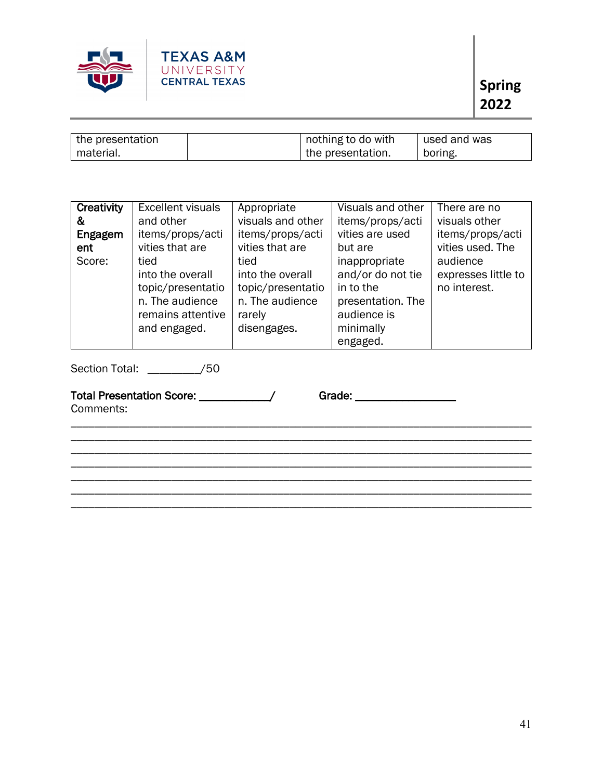

| the presentation | nothing to do with  | used and was |
|------------------|---------------------|--------------|
| material.        | I the presentation. | boring.      |

| Creativity | <b>Excellent visuals</b> | Appropriate       | Visuals and other | There are no        |
|------------|--------------------------|-------------------|-------------------|---------------------|
| &          | and other                | visuals and other | items/props/acti  | visuals other       |
| Engagem    | items/props/acti         | items/props/acti  | vities are used   | items/props/acti    |
| ent        | vities that are          | vities that are   | but are           | vities used. The    |
| Score:     | tied                     | tied              | inappropriate     | audience            |
|            | into the overall         | into the overall  | and/or do not tie | expresses little to |
|            | topic/presentatio        | topic/presentatio | in to the         | no interest.        |
|            | n. The audience          | n. The audience   | presentation. The |                     |
|            | remains attentive        | rarely            | audience is       |                     |
|            | and engaged.             | disengages.       | minimally         |                     |
|            |                          |                   | engaged.          |                     |

\_\_\_\_\_\_\_\_\_\_\_\_\_\_\_\_\_\_\_\_\_\_\_\_\_\_\_\_\_\_\_\_\_\_\_\_\_\_\_\_\_\_\_\_\_\_\_\_\_\_\_\_\_\_\_\_\_\_\_\_\_\_\_\_\_\_\_\_\_\_\_\_\_\_\_\_\_\_ \_\_\_\_\_\_\_\_\_\_\_\_\_\_\_\_\_\_\_\_\_\_\_\_\_\_\_\_\_\_\_\_\_\_\_\_\_\_\_\_\_\_\_\_\_\_\_\_\_\_\_\_\_\_\_\_\_\_\_\_\_\_\_\_\_\_\_\_\_\_\_\_\_\_\_\_\_\_ \_\_\_\_\_\_\_\_\_\_\_\_\_\_\_\_\_\_\_\_\_\_\_\_\_\_\_\_\_\_\_\_\_\_\_\_\_\_\_\_\_\_\_\_\_\_\_\_\_\_\_\_\_\_\_\_\_\_\_\_\_\_\_\_\_\_\_\_\_\_\_\_\_\_\_\_\_\_ \_\_\_\_\_\_\_\_\_\_\_\_\_\_\_\_\_\_\_\_\_\_\_\_\_\_\_\_\_\_\_\_\_\_\_\_\_\_\_\_\_\_\_\_\_\_\_\_\_\_\_\_\_\_\_\_\_\_\_\_\_\_\_\_\_\_\_\_\_\_\_\_\_\_\_\_\_\_ \_\_\_\_\_\_\_\_\_\_\_\_\_\_\_\_\_\_\_\_\_\_\_\_\_\_\_\_\_\_\_\_\_\_\_\_\_\_\_\_\_\_\_\_\_\_\_\_\_\_\_\_\_\_\_\_\_\_\_\_\_\_\_\_\_\_\_\_\_\_\_\_\_\_\_\_\_\_ \_\_\_\_\_\_\_\_\_\_\_\_\_\_\_\_\_\_\_\_\_\_\_\_\_\_\_\_\_\_\_\_\_\_\_\_\_\_\_\_\_\_\_\_\_\_\_\_\_\_\_\_\_\_\_\_\_\_\_\_\_\_\_\_\_\_\_\_\_\_\_\_\_\_\_\_\_\_ \_\_\_\_\_\_\_\_\_\_\_\_\_\_\_\_\_\_\_\_\_\_\_\_\_\_\_\_\_\_\_\_\_\_\_\_\_\_\_\_\_\_\_\_\_\_\_\_\_\_\_\_\_\_\_\_\_\_\_\_\_\_\_\_\_\_\_\_\_\_\_\_\_\_\_\_\_\_

Section Total: \_\_\_\_\_\_\_\_\_/50

Total Presentation Score: \_\_\_\_\_\_\_\_\_\_\_\_\_/ Grade: Grade: \_\_\_\_\_\_\_\_\_\_\_\_\_\_\_\_\_\_\_\_\_\_\_\_\_

Comments: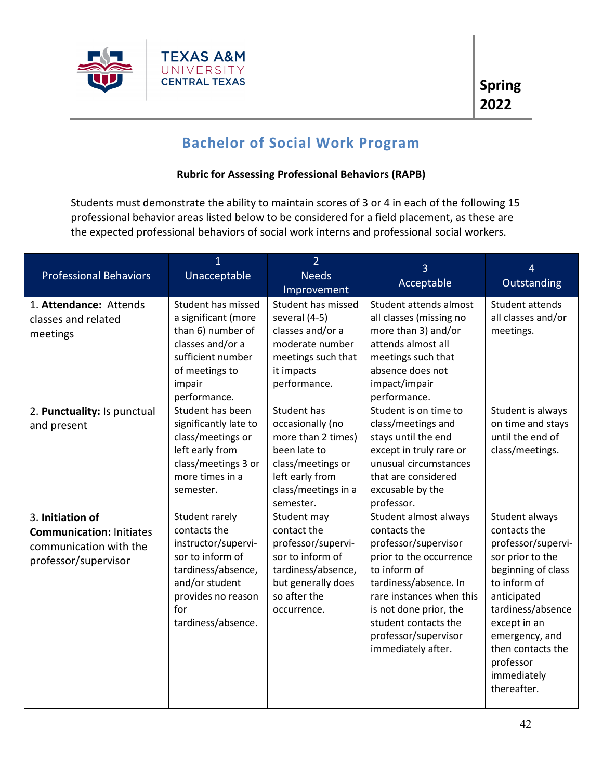

# **Bachelor of Social Work Program**

# **Rubric for Assessing Professional Behaviors (RAPB)**

Students must demonstrate the ability to maintain scores of 3 or 4 in each of the following 15 professional behavior areas listed below to be considered for a field placement, as these are the expected professional behaviors of social work interns and professional social workers.

| <b>Professional Behaviors</b><br>1. Attendance: Attends                                               | 1<br>Unacceptable<br>Student has missed                                                                                                                              | $\overline{2}$<br><b>Needs</b><br>Improvement<br>Student has missed                                                                               | 3<br>Acceptable<br>Student attends almost                                                                                                                                                                                                                     | 4<br>Outstanding<br>Student attends                                                                                                                                                                                                                  |
|-------------------------------------------------------------------------------------------------------|----------------------------------------------------------------------------------------------------------------------------------------------------------------------|---------------------------------------------------------------------------------------------------------------------------------------------------|---------------------------------------------------------------------------------------------------------------------------------------------------------------------------------------------------------------------------------------------------------------|------------------------------------------------------------------------------------------------------------------------------------------------------------------------------------------------------------------------------------------------------|
| classes and related<br>meetings                                                                       | a significant (more<br>than 6) number of<br>classes and/or a<br>sufficient number<br>of meetings to<br>impair<br>performance.                                        | several (4-5)<br>classes and/or a<br>moderate number<br>meetings such that<br>it impacts<br>performance.                                          | all classes (missing no<br>more than 3) and/or<br>attends almost all<br>meetings such that<br>absence does not<br>impact/impair<br>performance.                                                                                                               | all classes and/or<br>meetings.                                                                                                                                                                                                                      |
| 2. Punctuality: Is punctual<br>and present                                                            | Student has been<br>significantly late to<br>class/meetings or<br>left early from<br>class/meetings 3 or<br>more times in a<br>semester.                             | Student has<br>occasionally (no<br>more than 2 times)<br>been late to<br>class/meetings or<br>left early from<br>class/meetings in a<br>semester. | Student is on time to<br>class/meetings and<br>stays until the end<br>except in truly rare or<br>unusual circumstances<br>that are considered<br>excusable by the<br>professor.                                                                               | Student is always<br>on time and stays<br>until the end of<br>class/meetings.                                                                                                                                                                        |
| 3. Initiation of<br><b>Communication: Initiates</b><br>communication with the<br>professor/supervisor | Student rarely<br>contacts the<br>instructor/supervi-<br>sor to inform of<br>tardiness/absence,<br>and/or student<br>provides no reason<br>for<br>tardiness/absence. | Student may<br>contact the<br>professor/supervi-<br>sor to inform of<br>tardiness/absence,<br>but generally does<br>so after the<br>occurrence.   | Student almost always<br>contacts the<br>professor/supervisor<br>prior to the occurrence<br>to inform of<br>tardiness/absence. In<br>rare instances when this<br>is not done prior, the<br>student contacts the<br>professor/supervisor<br>immediately after. | Student always<br>contacts the<br>professor/supervi-<br>sor prior to the<br>beginning of class<br>to inform of<br>anticipated<br>tardiness/absence<br>except in an<br>emergency, and<br>then contacts the<br>professor<br>immediately<br>thereafter. |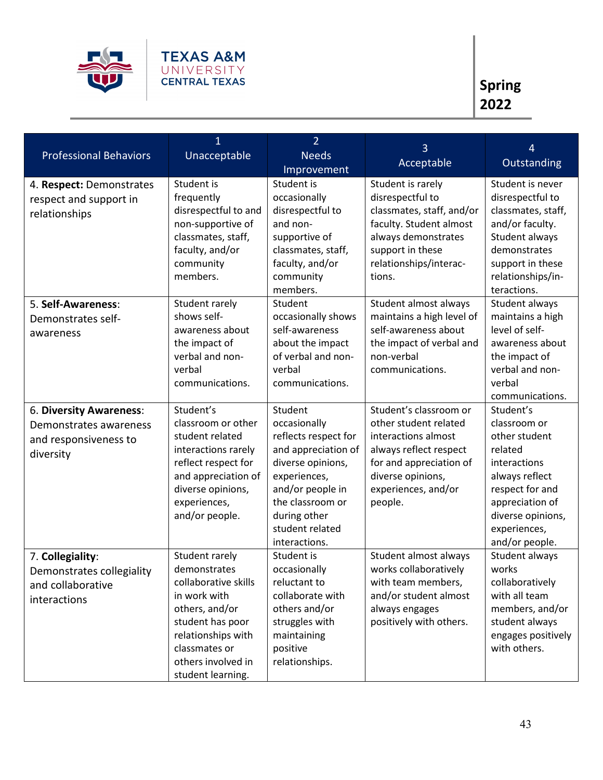

|                                                                                         | $\mathbf 1$                                                                                                                                                                                    | $\overline{2}$                                                                                                                                                                                          | 3                                                                                                                                                                                  | 4                                                                                                                                                                                    |
|-----------------------------------------------------------------------------------------|------------------------------------------------------------------------------------------------------------------------------------------------------------------------------------------------|---------------------------------------------------------------------------------------------------------------------------------------------------------------------------------------------------------|------------------------------------------------------------------------------------------------------------------------------------------------------------------------------------|--------------------------------------------------------------------------------------------------------------------------------------------------------------------------------------|
| <b>Professional Behaviors</b>                                                           | Unacceptable                                                                                                                                                                                   | <b>Needs</b>                                                                                                                                                                                            | Acceptable                                                                                                                                                                         | Outstanding                                                                                                                                                                          |
|                                                                                         |                                                                                                                                                                                                | Improvement                                                                                                                                                                                             |                                                                                                                                                                                    |                                                                                                                                                                                      |
| 4. Respect: Demonstrates<br>respect and support in<br>relationships                     | Student is<br>frequently<br>disrespectful to and<br>non-supportive of<br>classmates, staff,<br>faculty, and/or<br>community<br>members.                                                        | Student is<br>occasionally<br>disrespectful to<br>and non-<br>supportive of<br>classmates, staff,<br>faculty, and/or<br>community<br>members.                                                           | Student is rarely<br>disrespectful to<br>classmates, staff, and/or<br>faculty. Student almost<br>always demonstrates<br>support in these<br>relationships/interac-<br>tions.       | Student is never<br>disrespectful to<br>classmates, staff,<br>and/or faculty.<br>Student always<br>demonstrates<br>support in these<br>relationships/in-<br>teractions.              |
| 5. Self-Awareness:<br>Demonstrates self-<br>awareness                                   | Student rarely<br>shows self-<br>awareness about<br>the impact of<br>verbal and non-<br>verbal<br>communications.                                                                              | Student<br>occasionally shows<br>self-awareness<br>about the impact<br>of verbal and non-<br>verbal<br>communications.                                                                                  | Student almost always<br>maintains a high level of<br>self-awareness about<br>the impact of verbal and<br>non-verbal<br>communications.                                            | Student always<br>maintains a high<br>level of self-<br>awareness about<br>the impact of<br>verbal and non-<br>verbal<br>communications.                                             |
| 6. Diversity Awareness:<br>Demonstrates awareness<br>and responsiveness to<br>diversity | Student's<br>classroom or other<br>student related<br>interactions rarely<br>reflect respect for<br>and appreciation of<br>diverse opinions,<br>experiences,<br>and/or people.                 | Student<br>occasionally<br>reflects respect for<br>and appreciation of<br>diverse opinions,<br>experiences,<br>and/or people in<br>the classroom or<br>during other<br>student related<br>interactions. | Student's classroom or<br>other student related<br>interactions almost<br>always reflect respect<br>for and appreciation of<br>diverse opinions,<br>experiences, and/or<br>people. | Student's<br>classroom or<br>other student<br>related<br>interactions<br>always reflect<br>respect for and<br>appreciation of<br>diverse opinions,<br>experiences,<br>and/or people. |
| 7. Collegiality:<br>Demonstrates collegiality<br>and collaborative<br>interactions      | Student rarely<br>demonstrates<br>collaborative skills<br>in work with<br>others, and/or<br>student has poor<br>relationships with<br>classmates or<br>others involved in<br>student learning. | Student is<br>occasionally<br>reluctant to<br>collaborate with<br>others and/or<br>struggles with<br>maintaining<br>positive<br>relationships.                                                          | Student almost always<br>works collaboratively<br>with team members,<br>and/or student almost<br>always engages<br>positively with others.                                         | Student always<br>works<br>collaboratively<br>with all team<br>members, and/or<br>student always<br>engages positively<br>with others.                                               |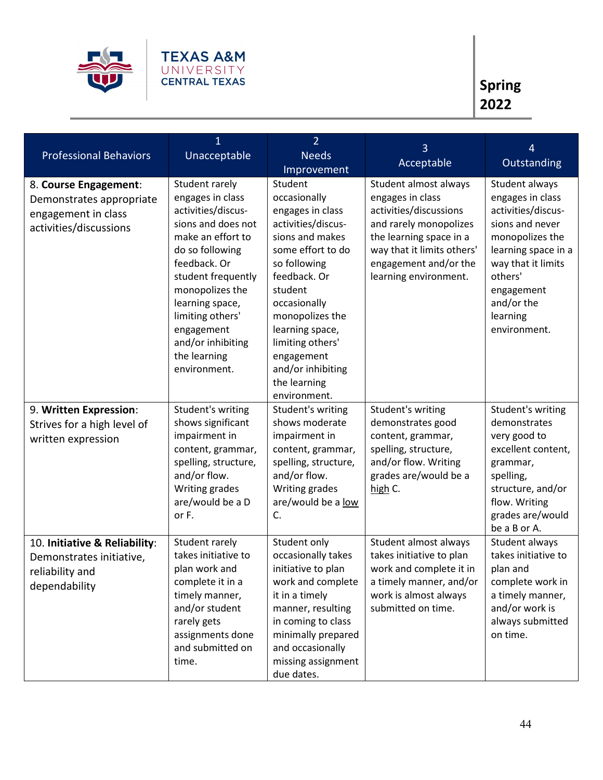

| <b>Professional Behaviors</b>                                                                      | 1<br>Unacceptable                                                                                                                                                                                                                                                                         | $\overline{2}$<br><b>Needs</b>                                                                                                                                                                                                                                                                    | 3                                                                                                                                                                                                        | 4                                                                                                                                                                                                              |
|----------------------------------------------------------------------------------------------------|-------------------------------------------------------------------------------------------------------------------------------------------------------------------------------------------------------------------------------------------------------------------------------------------|---------------------------------------------------------------------------------------------------------------------------------------------------------------------------------------------------------------------------------------------------------------------------------------------------|----------------------------------------------------------------------------------------------------------------------------------------------------------------------------------------------------------|----------------------------------------------------------------------------------------------------------------------------------------------------------------------------------------------------------------|
|                                                                                                    |                                                                                                                                                                                                                                                                                           | Improvement                                                                                                                                                                                                                                                                                       | Acceptable                                                                                                                                                                                               | Outstanding                                                                                                                                                                                                    |
| 8. Course Engagement:<br>Demonstrates appropriate<br>engagement in class<br>activities/discussions | Student rarely<br>engages in class<br>activities/discus-<br>sions and does not<br>make an effort to<br>do so following<br>feedback. Or<br>student frequently<br>monopolizes the<br>learning space,<br>limiting others'<br>engagement<br>and/or inhibiting<br>the learning<br>environment. | Student<br>occasionally<br>engages in class<br>activities/discus-<br>sions and makes<br>some effort to do<br>so following<br>feedback. Or<br>student<br>occasionally<br>monopolizes the<br>learning space,<br>limiting others'<br>engagement<br>and/or inhibiting<br>the learning<br>environment. | Student almost always<br>engages in class<br>activities/discussions<br>and rarely monopolizes<br>the learning space in a<br>way that it limits others'<br>engagement and/or the<br>learning environment. | Student always<br>engages in class<br>activities/discus-<br>sions and never<br>monopolizes the<br>learning space in a<br>way that it limits<br>others'<br>engagement<br>and/or the<br>learning<br>environment. |
| 9. Written Expression:<br>Strives for a high level of<br>written expression                        | Student's writing<br>shows significant<br>impairment in<br>content, grammar,<br>spelling, structure,<br>and/or flow.<br>Writing grades<br>are/would be a D<br>or F.                                                                                                                       | Student's writing<br>shows moderate<br>impairment in<br>content, grammar,<br>spelling, structure,<br>and/or flow.<br>Writing grades<br>are/would be a low<br>C.                                                                                                                                   | Student's writing<br>demonstrates good<br>content, grammar,<br>spelling, structure,<br>and/or flow. Writing<br>grades are/would be a<br>high C.                                                          | Student's writing<br>demonstrates<br>very good to<br>excellent content,<br>grammar,<br>spelling,<br>structure, and/or<br>flow. Writing<br>grades are/would<br>be a B or A.                                     |
| 10. Initiative & Reliability:<br>Demonstrates initiative,<br>reliability and<br>dependability      | Student rarely<br>takes initiative to<br>plan work and<br>complete it in a<br>timely manner,<br>and/or student<br>rarely gets<br>assignments done<br>and submitted on<br>time.                                                                                                            | Student only<br>occasionally takes<br>initiative to plan<br>work and complete<br>it in a timely<br>manner, resulting<br>in coming to class<br>minimally prepared<br>and occasionally<br>missing assignment<br>due dates.                                                                          | Student almost always<br>takes initiative to plan<br>work and complete it in<br>a timely manner, and/or<br>work is almost always<br>submitted on time.                                                   | Student always<br>takes initiative to<br>plan and<br>complete work in<br>a timely manner,<br>and/or work is<br>always submitted<br>on time.                                                                    |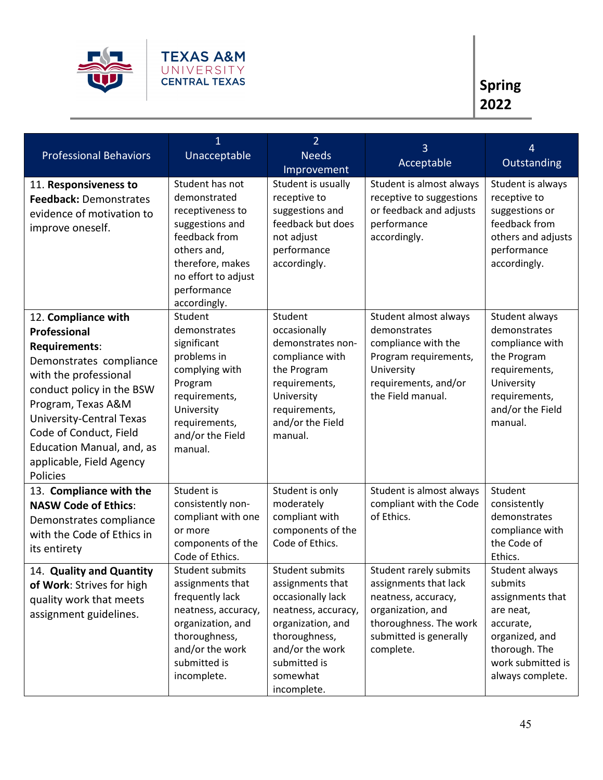

| <b>Professional Behaviors</b>                                                                                                                                                                                                                                                                 | $\overline{1}$<br>Unacceptable                                                                                                                                                   | $\overline{2}$<br><b>Needs</b><br>Improvement                                                                                                                                       | 3<br>Acceptable                                                                                                                                              | 4<br>Outstanding                                                                                                                                    |
|-----------------------------------------------------------------------------------------------------------------------------------------------------------------------------------------------------------------------------------------------------------------------------------------------|----------------------------------------------------------------------------------------------------------------------------------------------------------------------------------|-------------------------------------------------------------------------------------------------------------------------------------------------------------------------------------|--------------------------------------------------------------------------------------------------------------------------------------------------------------|-----------------------------------------------------------------------------------------------------------------------------------------------------|
| 11. Responsiveness to<br>Feedback: Demonstrates<br>evidence of motivation to<br>improve oneself.                                                                                                                                                                                              | Student has not<br>demonstrated<br>receptiveness to<br>suggestions and<br>feedback from<br>others and,<br>therefore, makes<br>no effort to adjust<br>performance<br>accordingly. | Student is usually<br>receptive to<br>suggestions and<br>feedback but does<br>not adjust<br>performance<br>accordingly.                                                             | Student is almost always<br>receptive to suggestions<br>or feedback and adjusts<br>performance<br>accordingly.                                               | Student is always<br>receptive to<br>suggestions or<br>feedback from<br>others and adjusts<br>performance<br>accordingly.                           |
| 12. Compliance with<br>Professional<br>Requirements:<br>Demonstrates compliance<br>with the professional<br>conduct policy in the BSW<br>Program, Texas A&M<br><b>University-Central Texas</b><br>Code of Conduct, Field<br>Education Manual, and, as<br>applicable, Field Agency<br>Policies | Student<br>demonstrates<br>significant<br>problems in<br>complying with<br>Program<br>requirements,<br>University<br>requirements,<br>and/or the Field<br>manual.                | Student<br>occasionally<br>demonstrates non-<br>compliance with<br>the Program<br>requirements,<br>University<br>requirements,<br>and/or the Field<br>manual.                       | Student almost always<br>demonstrates<br>compliance with the<br>Program requirements,<br>University<br>requirements, and/or<br>the Field manual.             | Student always<br>demonstrates<br>compliance with<br>the Program<br>requirements,<br>University<br>requirements,<br>and/or the Field<br>manual.     |
| 13. Compliance with the<br><b>NASW Code of Ethics:</b><br>Demonstrates compliance<br>with the Code of Ethics in<br>its entirety                                                                                                                                                               | Student is<br>consistently non-<br>compliant with one<br>or more<br>components of the<br>Code of Ethics.                                                                         | Student is only<br>moderately<br>compliant with<br>components of the<br>Code of Ethics.                                                                                             | Student is almost always<br>compliant with the Code<br>of Ethics.                                                                                            | Student<br>consistently<br>demonstrates<br>compliance with<br>the Code of<br>Ethics.                                                                |
| 14. Quality and Quantity<br>of Work: Strives for high<br>quality work that meets<br>assignment guidelines.                                                                                                                                                                                    | Student submits<br>assignments that<br>frequently lack<br>neatness, accuracy,<br>organization, and<br>thoroughness,<br>and/or the work<br>submitted is<br>incomplete.            | Student submits<br>assignments that<br>occasionally lack<br>neatness, accuracy,<br>organization, and<br>thoroughness,<br>and/or the work<br>submitted is<br>somewhat<br>incomplete. | Student rarely submits<br>assignments that lack<br>neatness, accuracy,<br>organization, and<br>thoroughness. The work<br>submitted is generally<br>complete. | Student always<br>submits<br>assignments that<br>are neat,<br>accurate,<br>organized, and<br>thorough. The<br>work submitted is<br>always complete. |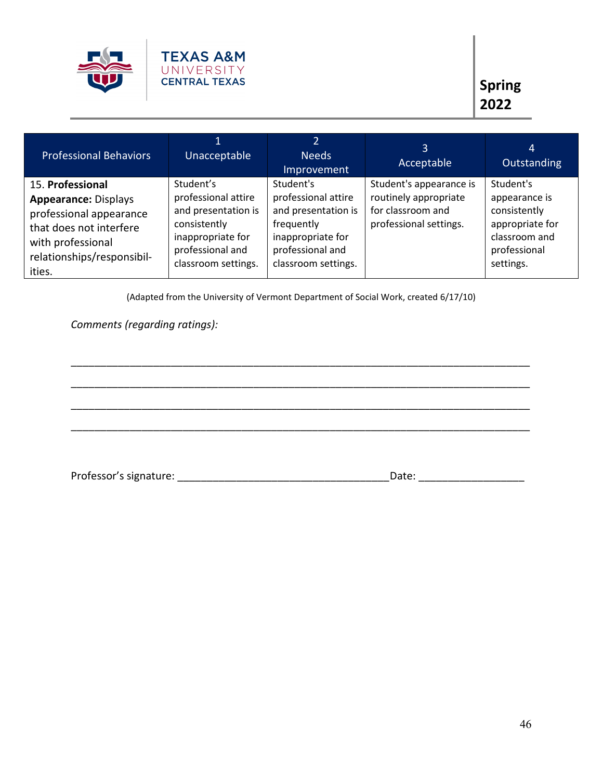

| <b>Professional Behaviors</b>                                                                                                                                      | Unacceptable                                                                                                                            | Needs<br>Improvement                                                                                                                  | 3<br>Acceptable                                                                                 | 4<br><b>Outstanding</b>                                                                                     |
|--------------------------------------------------------------------------------------------------------------------------------------------------------------------|-----------------------------------------------------------------------------------------------------------------------------------------|---------------------------------------------------------------------------------------------------------------------------------------|-------------------------------------------------------------------------------------------------|-------------------------------------------------------------------------------------------------------------|
| 15. Professional<br><b>Appearance: Displays</b><br>professional appearance<br>that does not interfere<br>with professional<br>relationships/responsibil-<br>ities. | Student's<br>professional attire<br>and presentation is<br>consistently<br>inappropriate for<br>professional and<br>classroom settings. | Student's<br>professional attire<br>and presentation is<br>frequently<br>inappropriate for<br>professional and<br>classroom settings. | Student's appearance is<br>routinely appropriate<br>for classroom and<br>professional settings. | Student's<br>appearance is<br>consistently<br>appropriate for<br>classroom and<br>professional<br>settings. |

(Adapted from the University of Vermont Department of Social Work, created 6/17/10)

\_\_\_\_\_\_\_\_\_\_\_\_\_\_\_\_\_\_\_\_\_\_\_\_\_\_\_\_\_\_\_\_\_\_\_\_\_\_\_\_\_\_\_\_\_\_\_\_\_\_\_\_\_\_\_\_\_\_\_\_\_\_\_\_\_\_\_\_\_\_\_\_\_\_\_\_\_\_

\_\_\_\_\_\_\_\_\_\_\_\_\_\_\_\_\_\_\_\_\_\_\_\_\_\_\_\_\_\_\_\_\_\_\_\_\_\_\_\_\_\_\_\_\_\_\_\_\_\_\_\_\_\_\_\_\_\_\_\_\_\_\_\_\_\_\_\_\_\_\_\_\_\_\_\_\_\_

\_\_\_\_\_\_\_\_\_\_\_\_\_\_\_\_\_\_\_\_\_\_\_\_\_\_\_\_\_\_\_\_\_\_\_\_\_\_\_\_\_\_\_\_\_\_\_\_\_\_\_\_\_\_\_\_\_\_\_\_\_\_\_\_\_\_\_\_\_\_\_\_\_\_\_\_\_\_

\_\_\_\_\_\_\_\_\_\_\_\_\_\_\_\_\_\_\_\_\_\_\_\_\_\_\_\_\_\_\_\_\_\_\_\_\_\_\_\_\_\_\_\_\_\_\_\_\_\_\_\_\_\_\_\_\_\_\_\_\_\_\_\_\_\_\_\_\_\_\_\_\_\_\_\_\_\_

*Comments (regarding ratings):* 

Professor's signature: \_\_\_\_\_\_\_\_\_\_\_\_\_\_\_\_\_\_\_\_\_\_\_\_\_\_\_\_\_\_\_\_\_\_\_\_Date: \_\_\_\_\_\_\_\_\_\_\_\_\_\_\_\_\_\_